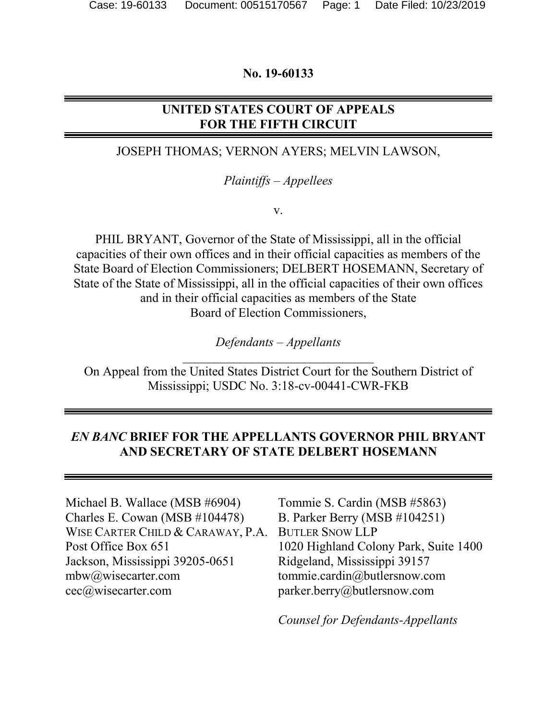#### **No. 19-60133**

# **UNITED STATES COURT OF APPEALS FOR THE FIFTH CIRCUIT**

## JOSEPH THOMAS; VERNON AYERS; MELVIN LAWSON,

### *Plaintiffs – Appellees*

v.

PHIL BRYANT, Governor of the State of Mississippi, all in the official capacities of their own offices and in their official capacities as members of the State Board of Election Commissioners; DELBERT HOSEMANN, Secretary of State of the State of Mississippi, all in the official capacities of their own offices and in their official capacities as members of the State Board of Election Commissioners,

> *Defendants – Appellants*  $\mathcal{L}_\text{max}$  , which is a set of the set of the set of the set of the set of the set of the set of the set of the set of the set of the set of the set of the set of the set of the set of the set of the set of the set of

On Appeal from the United States District Court for the Southern District of Mississippi; USDC No. 3:18-cv-00441-CWR-FKB

# *EN BANC* **BRIEF FOR THE APPELLANTS GOVERNOR PHIL BRYANT AND SECRETARY OF STATE DELBERT HOSEMANN**

Michael B. Wallace (MSB #6904) Charles E. Cowan (MSB #104478) WISE CARTER CHILD & CARAWAY, P.A. Post Office Box 651 Jackson, Mississippi 39205-0651 mbw@wisecarter.com cec@wisecarter.com

Tommie S. Cardin (MSB #5863) B. Parker Berry (MSB #104251) BUTLER SNOW LLP 1020 Highland Colony Park, Suite 1400 Ridgeland, Mississippi 39157 tommie.cardin@butlersnow.com parker.berry@butlersnow.com

*Counsel for Defendants-Appellants*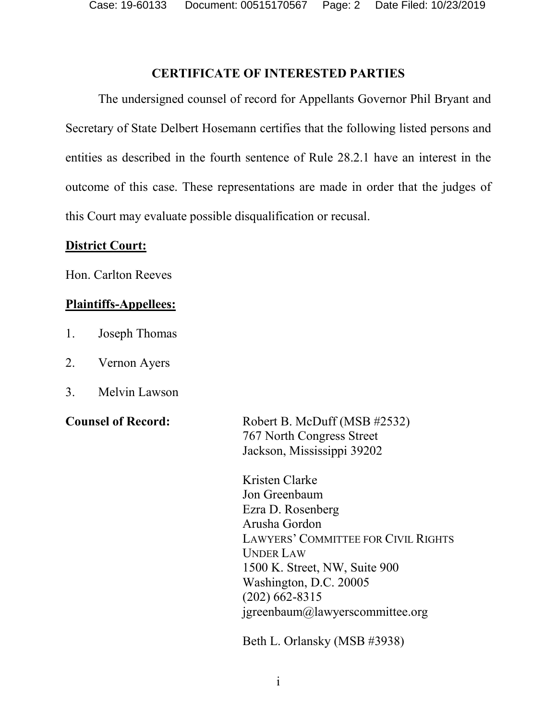Case: 19-60133 Document: 00515170567 Page: 2 Date Filed: 10/23/2019

### **CERTIFICATE OF INTERESTED PARTIES**

<span id="page-1-0"></span>The undersigned counsel of record for Appellants Governor Phil Bryant and Secretary of State Delbert Hosemann certifies that the following listed persons and entities as described in the fourth sentence of Rule 28.2.1 have an interest in the outcome of this case. These representations are made in order that the judges of this Court may evaluate possible disqualification or recusal.

#### **District Court:**

Hon. Carlton Reeves

### **Plaintiffs-Appellees:**

- 1. Joseph Thomas
- 2. Vernon Ayers
- 3. Melvin Lawson

**Counsel of Record:** Robert B. McDuff (MSB #2532) 767 North Congress Street Jackson, Mississippi 39202

> Kristen Clarke Jon Greenbaum Ezra D. Rosenberg Arusha Gordon LAWYERS' COMMITTEE FOR CIVIL RIGHTS UNDER LAW 1500 K. Street, NW, Suite 900 Washington, D.C. 20005 (202) 662-8315 jgreenbaum@lawyerscommittee.org

Beth L. Orlansky (MSB #3938)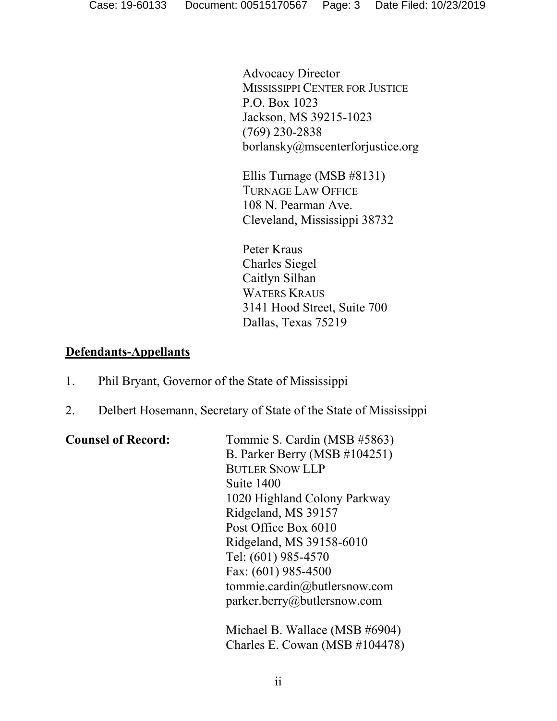Advocacy Director MISSISSIPPI CENTER FOR JUSTICE P.O. Box 1023 Jackson, MS 39215-1023 (769) 230-2838 borlansky@mscenterforjustice.org

Ellis Turnage (MSB #8131) TURNAGE LAW OFFICE 108 N. Pearman Ave. Cleveland, Mississippi 38732

Peter Kraus Charles Siegel Caitlyn Silhan WATERS KRAUS 3141 Hood Street, Suite 700 Dallas, Texas 75219

# **Defendants-Appellants**

- 1. Phil Bryant, Governor of the State of Mississippi
- 2. Delbert Hosemann, Secretary of State of the State of Mississippi

| <b>Counsel of Record:</b> | Tommie S. Cardin (MSB #5863)   |
|---------------------------|--------------------------------|
|                           |                                |
|                           | B. Parker Berry (MSB #104251)  |
|                           | <b>BUTLER SNOW LLP</b>         |
|                           | Suite 1400                     |
|                           | 1020 Highland Colony Parkway   |
|                           | Ridgeland, MS 39157            |
|                           | Post Office Box 6010           |
|                           | Ridgeland, MS 39158-6010       |
|                           | Tel: (601) 985-4570            |
|                           | Fax: (601) 985-4500            |
|                           | tommie.cardin@butlersnow.com   |
|                           | parker.berry@butlersnow.com    |
|                           | Michael B. Wallace (MSB #6904) |
|                           | Charles E. Cowan (MSB #104478) |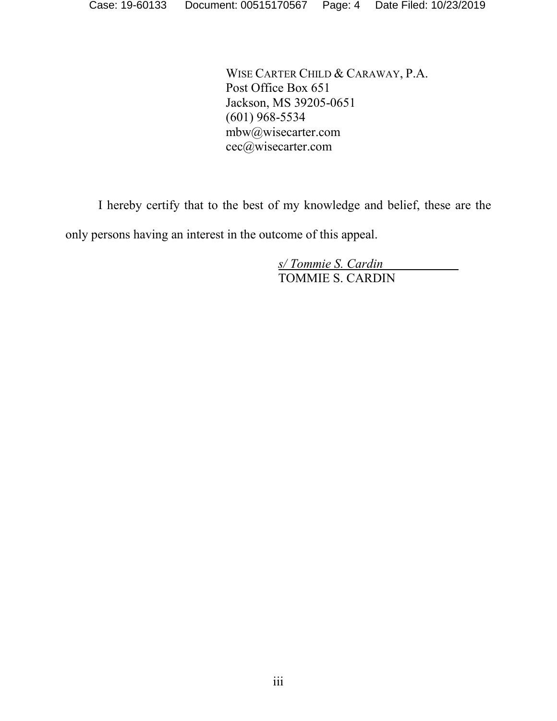WISE CARTER CHILD & CARAWAY, P.A. Post Office Box 651 Jackson, MS 39205-0651 (601) 968-5534 mbw@wisecarter.com cec@wisecarter.com

I hereby certify that to the best of my knowledge and belief, these are the

only persons having an interest in the outcome of this appeal.

*s/ Tommie S. Cardin* TOMMIE S. CARDIN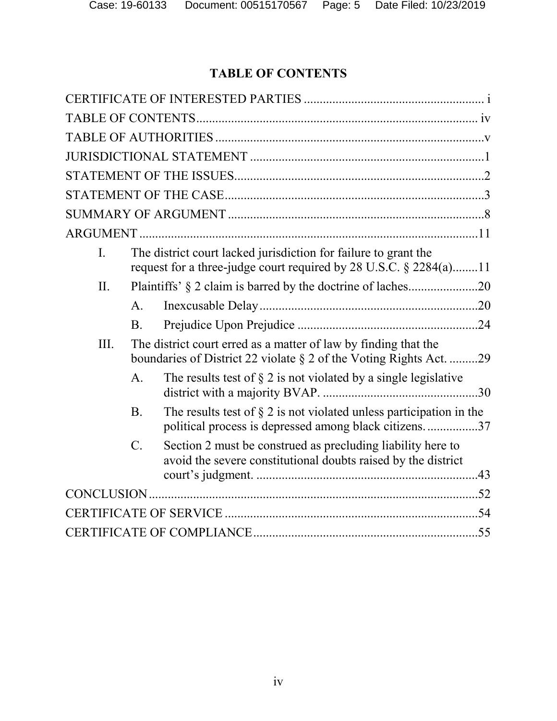# **TABLE OF CONTENTS**

<span id="page-4-0"></span>

| $\mathbf{I}$ . |                 | The district court lacked jurisdiction for failure to grant the<br>request for a three-judge court required by 28 U.S.C. § 2284(a)11  |  |
|----------------|-----------------|---------------------------------------------------------------------------------------------------------------------------------------|--|
| II.            |                 | Plaintiffs' § 2 claim is barred by the doctrine of laches20                                                                           |  |
|                | $A_{\cdot}$     |                                                                                                                                       |  |
|                | $\mathbf{B}$    |                                                                                                                                       |  |
| III.           |                 | The district court erred as a matter of law by finding that the<br>boundaries of District 22 violate § 2 of the Voting Rights Act. 29 |  |
|                | $\mathsf{A}$ .  | The results test of $\S 2$ is not violated by a single legislative                                                                    |  |
|                | <b>B</b> .      | The results test of $\S 2$ is not violated unless participation in the<br>political process is depressed among black citizens37       |  |
|                | $\mathcal{C}$ . | Section 2 must be construed as precluding liability here to<br>avoid the severe constitutional doubts raised by the district          |  |
|                |                 |                                                                                                                                       |  |
|                |                 |                                                                                                                                       |  |
|                |                 |                                                                                                                                       |  |
|                |                 |                                                                                                                                       |  |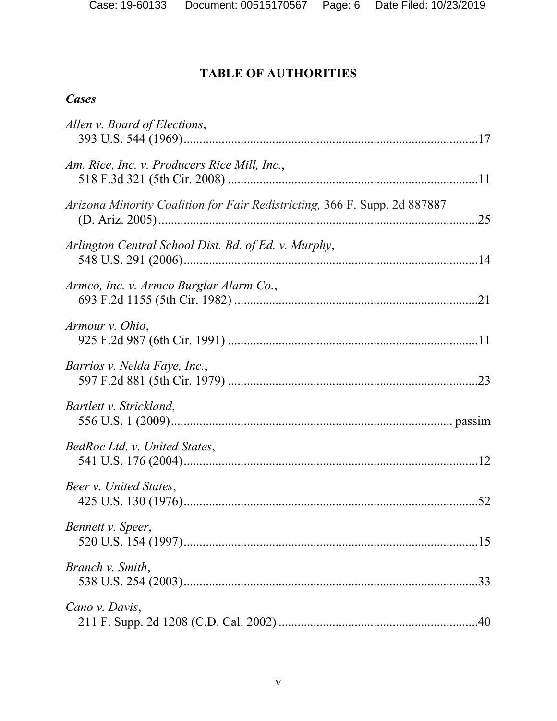# **TABLE OF AUTHORITIES**

# <span id="page-5-0"></span>*Cases*

| Allen v. Board of Elections,                                              |  |
|---------------------------------------------------------------------------|--|
| Am. Rice, Inc. v. Producers Rice Mill, Inc.,                              |  |
| Arizona Minority Coalition for Fair Redistricting, 366 F. Supp. 2d 887887 |  |
| Arlington Central School Dist. Bd. of Ed. v. Murphy,                      |  |
| Armco, Inc. v. Armco Burglar Alarm Co.,                                   |  |
| Armour v. Ohio,                                                           |  |
| Barrios v. Nelda Faye, Inc.,                                              |  |
| Bartlett v. Strickland,                                                   |  |
| BedRoc Ltd. v. United States,                                             |  |
| Beer v. United States,                                                    |  |
| Bennett v. Speer,                                                         |  |
| Branch v. Smith,                                                          |  |
| Cano v. Davis,                                                            |  |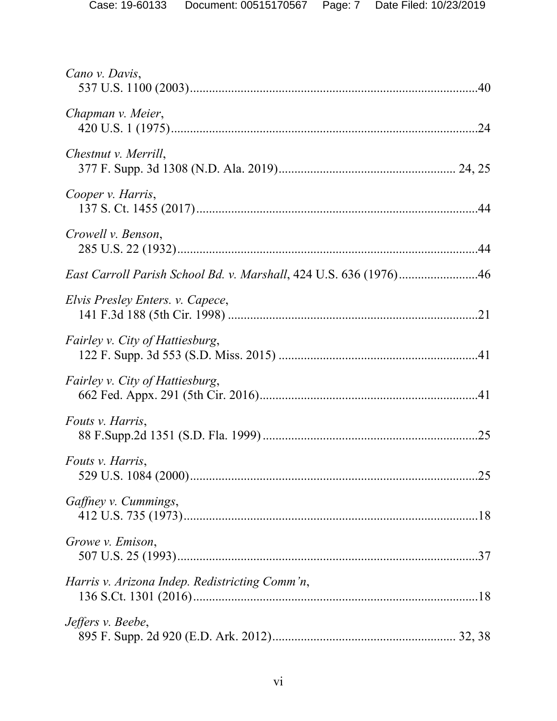| Cano v. Davis,                                                    |  |
|-------------------------------------------------------------------|--|
| Chapman v. Meier,                                                 |  |
| Chestnut v. Merrill,                                              |  |
| Cooper v. Harris,                                                 |  |
| Crowell v. Benson,                                                |  |
| East Carroll Parish School Bd. v. Marshall, 424 U.S. 636 (1976)46 |  |
| Elvis Presley Enters. v. Capece,                                  |  |
| <i>Fairley v. City of Hattiesburg,</i>                            |  |
| Fairley v. City of Hattiesburg,                                   |  |
| Fouts v. Harris,                                                  |  |
| Fouts v. Harris,                                                  |  |
| Gaffney v. Cummings,                                              |  |
| Growe v. Emison,                                                  |  |
| Harris v. Arizona Indep. Redistricting Comm'n,                    |  |
| Jeffers v. Beebe,                                                 |  |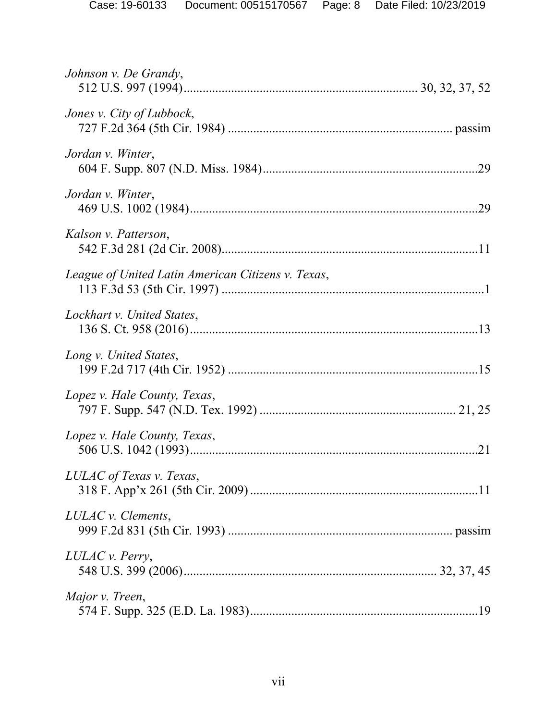| Johnson v. De Grandy,                              |  |
|----------------------------------------------------|--|
| Jones v. City of Lubbock,                          |  |
| Jordan v. Winter,                                  |  |
| Jordan v. Winter,                                  |  |
| Kalson v. Patterson,                               |  |
| League of United Latin American Citizens v. Texas, |  |
| Lockhart v. United States,                         |  |
| Long v. United States,                             |  |
| Lopez v. Hale County, Texas,                       |  |
| Lopez v. Hale County, Texas,                       |  |
| LULAC of Texas v. Texas,                           |  |
| LULAC v. Clements,                                 |  |
| LULAC v. Perry,                                    |  |
| Major v. Treen,                                    |  |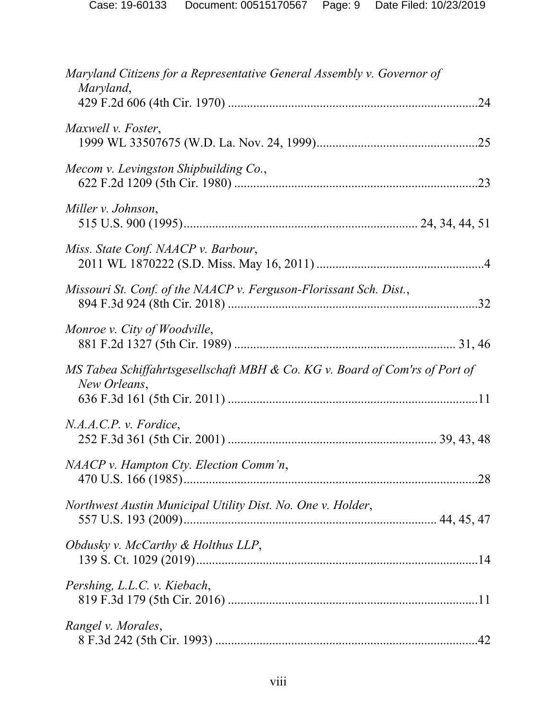| Maryland Citizens for a Representative General Assembly v. Governor of                      |     |
|---------------------------------------------------------------------------------------------|-----|
| Maryland,                                                                                   |     |
| Maxwell v. Foster,                                                                          | .25 |
| Mecom v. Levingston Shipbuilding Co.,                                                       |     |
| Miller v. Johnson,                                                                          |     |
| Miss. State Conf. NAACP v. Barbour,                                                         |     |
| Missouri St. Conf. of the NAACP v. Ferguson-Florissant Sch. Dist.,                          |     |
| Monroe v. City of Woodville,                                                                |     |
| MS Tabea Schiffahrtsgesellschaft MBH & Co. KG v. Board of Com'rs of Port of<br>New Orleans, |     |
| N.A.A.C.P. v. Fordice,                                                                      |     |
| NAACP v. Hampton Cty. Election Comm'n,                                                      |     |
| Northwest Austin Municipal Utility Dist. No. One v. Holder,                                 |     |
| Obdusky v. McCarthy & Holthus LLP,                                                          |     |
| Pershing, L.L.C. v. Kiebach,                                                                |     |
| Rangel v. Morales,                                                                          |     |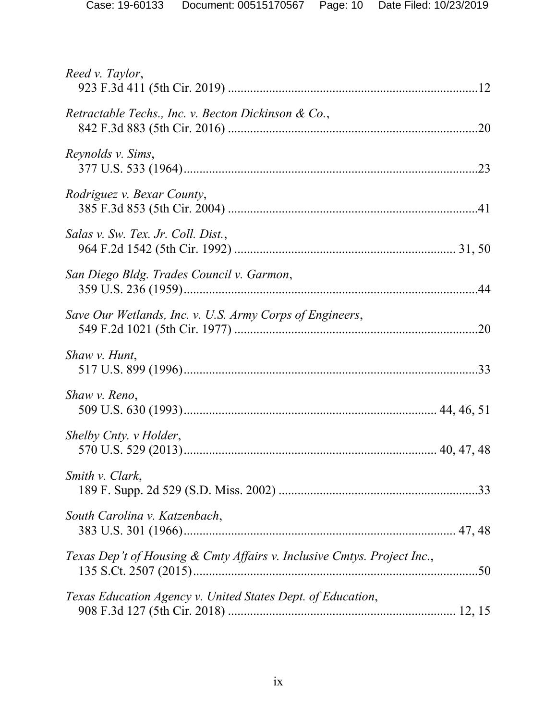| Reed v. Taylor,                                                         |  |
|-------------------------------------------------------------------------|--|
| Retractable Techs., Inc. v. Becton Dickinson & Co.,                     |  |
| Reynolds v. Sims,                                                       |  |
| Rodriguez v. Bexar County,                                              |  |
| Salas v. Sw. Tex. Jr. Coll. Dist.,                                      |  |
| San Diego Bldg. Trades Council v. Garmon,                               |  |
| Save Our Wetlands, Inc. v. U.S. Army Corps of Engineers,                |  |
| Shaw v. Hunt,                                                           |  |
| Shaw v. Reno,                                                           |  |
| Shelby Cnty. v Holder,                                                  |  |
| Smith v. Clark,                                                         |  |
| South Carolina v. Katzenbach,                                           |  |
| Texas Dep't of Housing & Cmty Affairs v. Inclusive Cmtys. Project Inc., |  |
| Texas Education Agency v. United States Dept. of Education,             |  |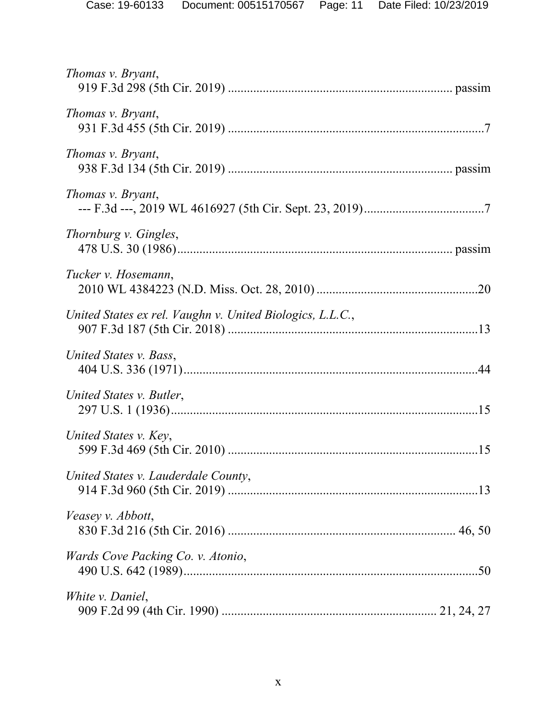| Thomas v. Bryant,                                         |  |
|-----------------------------------------------------------|--|
| Thomas v. Bryant,                                         |  |
| Thomas v. Bryant,                                         |  |
| Thomas v. Bryant,                                         |  |
| Thornburg v. Gingles,                                     |  |
| Tucker v. Hosemann,                                       |  |
| United States ex rel. Vaughn v. United Biologics, L.L.C., |  |
| United States v. Bass,                                    |  |
| United States v. Butler,                                  |  |
| United States v. Key,                                     |  |
| United States v. Lauderdale County,                       |  |
| Veasey v. Abbott,                                         |  |
| Wards Cove Packing Co. v. Atonio,                         |  |
| White <i>v</i> . Daniel,                                  |  |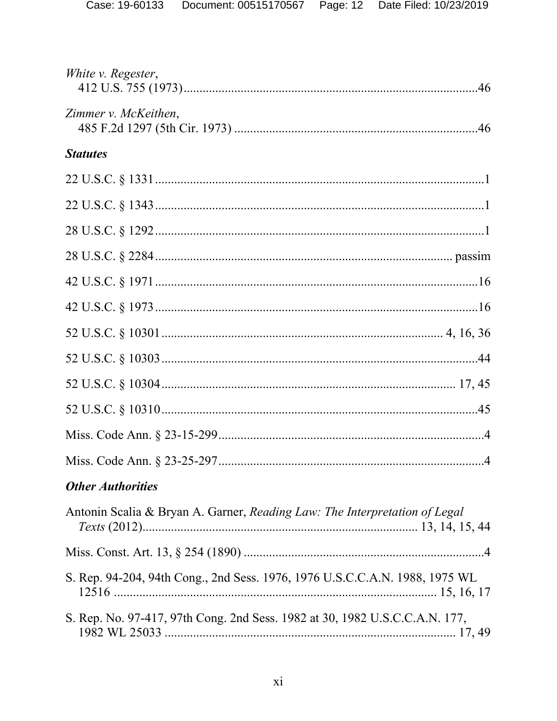| White v. Regester,                                                          |  |
|-----------------------------------------------------------------------------|--|
| Zimmer v. McKeithen,                                                        |  |
| <b>Statutes</b>                                                             |  |
|                                                                             |  |
|                                                                             |  |
|                                                                             |  |
|                                                                             |  |
|                                                                             |  |
|                                                                             |  |
|                                                                             |  |
|                                                                             |  |
|                                                                             |  |
|                                                                             |  |
|                                                                             |  |
|                                                                             |  |
| <b>Other Authorities</b>                                                    |  |
| Antonin Scalia & Bryan A. Garner, Reading Law: The Interpretation of Legal  |  |
|                                                                             |  |
| S. Rep. 94-204, 94th Cong., 2nd Sess. 1976, 1976 U.S.C.C.A.N. 1988, 1975 WL |  |
| S. Rep. No. 97-417, 97th Cong. 2nd Sess. 1982 at 30, 1982 U.S.C.C.A.N. 177, |  |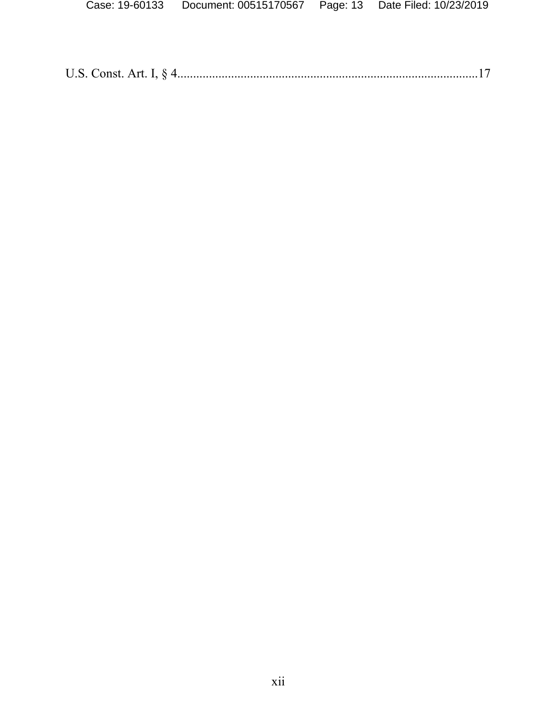|--|--|--|--|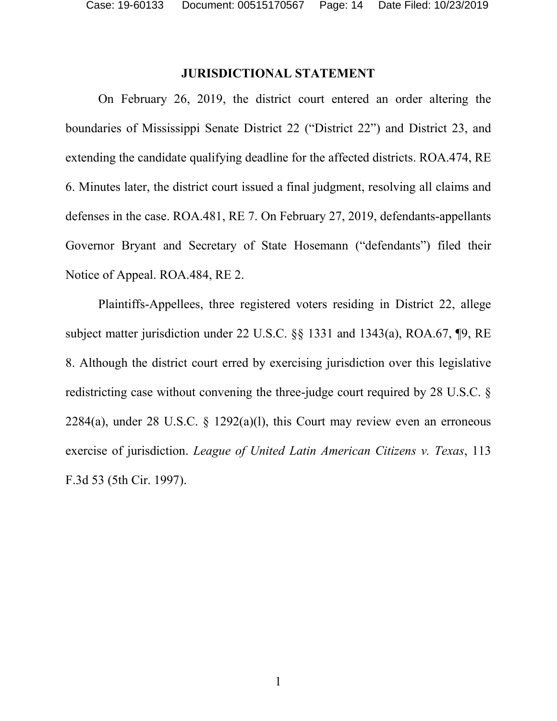#### **JURISDICTIONAL STATEMENT**

<span id="page-13-0"></span>On February 26, 2019, the district court entered an order altering the boundaries of Mississippi Senate District 22 ("District 22") and District 23, and extending the candidate qualifying deadline for the affected districts. ROA.474, RE 6. Minutes later, the district court issued a final judgment, resolving all claims and defenses in the case. ROA.481, RE 7. On February 27, 2019, defendants-appellants Governor Bryant and Secretary of State Hosemann ("defendants") filed their Notice of Appeal. ROA.484, RE 2.

Plaintiffs-Appellees, three registered voters residing in District 22, allege subject matter jurisdiction under 22 U.S.C. §§ 1331 and 1343(a), ROA.67, ¶9, RE 8. Although the district court erred by exercising jurisdiction over this legislative redistricting case without convening the three-judge court required by 28 U.S.C. § 2284(a), under 28 U.S.C.  $\frac{1292(a)(1)}{28}$ , this Court may review even an erroneous exercise of jurisdiction. *League of United Latin American Citizens v. Texas*, 113 F.3d 53 (5th Cir. 1997).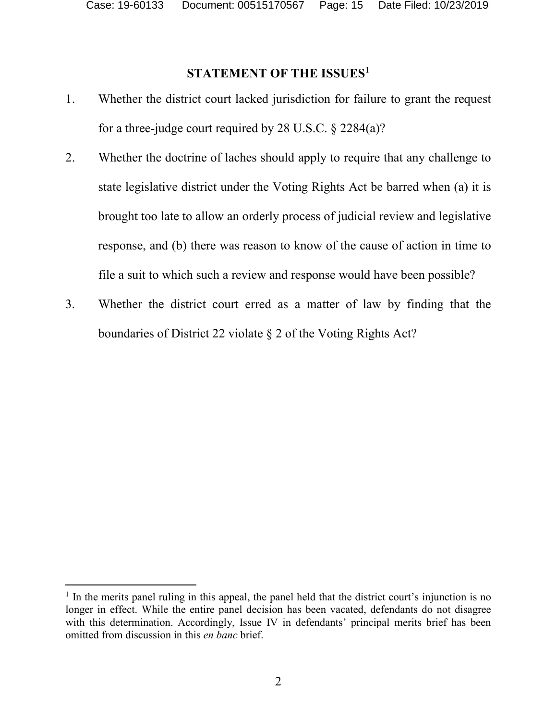# **STATEMENT OF THE ISSUES[1](#page-14-1)**

- <span id="page-14-0"></span>1. Whether the district court lacked jurisdiction for failure to grant the request for a three-judge court required by 28 U.S.C. § 2284(a)?
- 2. Whether the doctrine of laches should apply to require that any challenge to state legislative district under the Voting Rights Act be barred when (a) it is brought too late to allow an orderly process of judicial review and legislative response, and (b) there was reason to know of the cause of action in time to file a suit to which such a review and response would have been possible?
- 3. Whether the district court erred as a matter of law by finding that the boundaries of District 22 violate § 2 of the Voting Rights Act?

<span id="page-14-1"></span><sup>&</sup>lt;sup>1</sup> In the merits panel ruling in this appeal, the panel held that the district court's injunction is no longer in effect. While the entire panel decision has been vacated, defendants do not disagree with this determination. Accordingly, Issue IV in defendants' principal merits brief has been omitted from discussion in this *en banc* brief.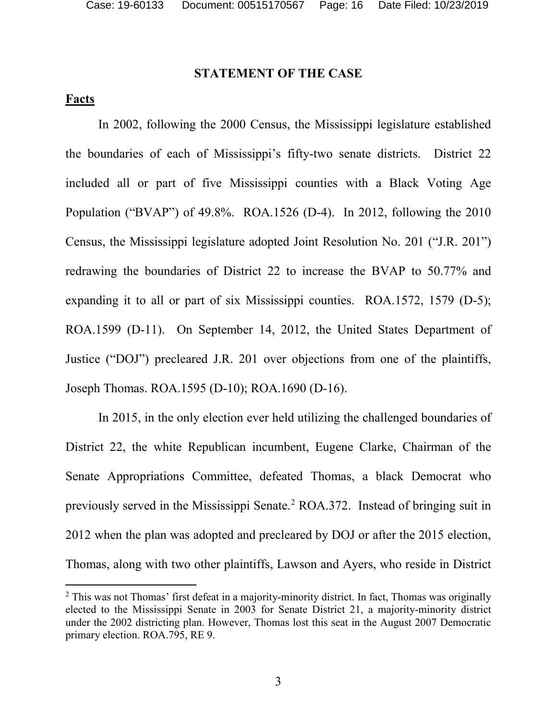### **STATEMENT OF THE CASE**

## <span id="page-15-0"></span>**Facts**

In 2002, following the 2000 Census, the Mississippi legislature established the boundaries of each of Mississippi's fifty-two senate districts. District 22 included all or part of five Mississippi counties with a Black Voting Age Population ("BVAP") of 49.8%. ROA.1526 (D-4). In 2012, following the 2010 Census, the Mississippi legislature adopted Joint Resolution No. 201 ("J.R. 201") redrawing the boundaries of District 22 to increase the BVAP to 50.77% and expanding it to all or part of six Mississippi counties. ROA.1572, 1579 (D-5); ROA.1599 (D-11). On September 14, 2012, the United States Department of Justice ("DOJ") precleared J.R. 201 over objections from one of the plaintiffs, Joseph Thomas. ROA.1595 (D-10); ROA.1690 (D-16).

In 2015, in the only election ever held utilizing the challenged boundaries of District 22, the white Republican incumbent, Eugene Clarke, Chairman of the Senate Appropriations Committee, defeated Thomas, a black Democrat who previously served in the Mississippi Senate.[2](#page-15-1) ROA.372. Instead of bringing suit in 2012 when the plan was adopted and precleared by DOJ or after the 2015 election, Thomas, along with two other plaintiffs, Lawson and Ayers, who reside in District

<span id="page-15-1"></span><sup>&</sup>lt;sup>2</sup> This was not Thomas' first defeat in a majority-minority district. In fact, Thomas was originally elected to the Mississippi Senate in 2003 for Senate District 21, a majority-minority district under the 2002 districting plan. However, Thomas lost this seat in the August 2007 Democratic primary election. ROA.795, RE 9.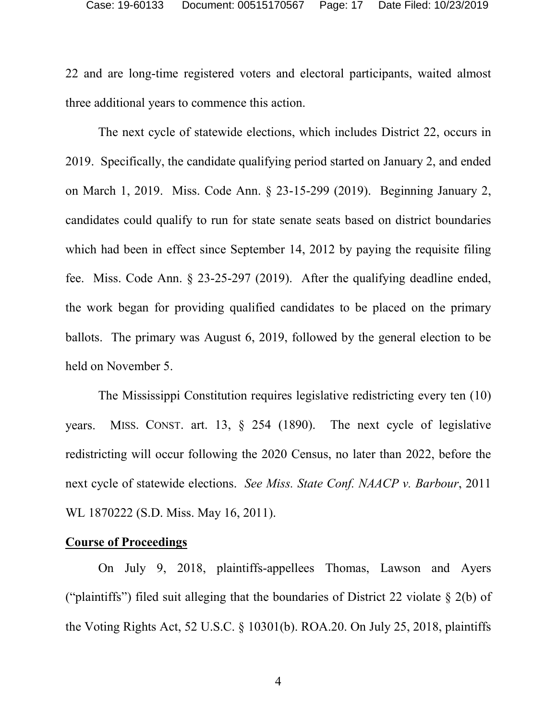22 and are long-time registered voters and electoral participants, waited almost three additional years to commence this action.

The next cycle of statewide elections, which includes District 22, occurs in 2019. Specifically, the candidate qualifying period started on January 2, and ended on March 1, 2019. Miss. Code Ann. § 23-15-299 (2019). Beginning January 2, candidates could qualify to run for state senate seats based on district boundaries which had been in effect since September 14, 2012 by paying the requisite filing fee. Miss. Code Ann. § 23-25-297 (2019). After the qualifying deadline ended, the work began for providing qualified candidates to be placed on the primary ballots. The primary was August 6, 2019, followed by the general election to be held on November 5.

The Mississippi Constitution requires legislative redistricting every ten (10) years. MISS. CONST. art. 13, § 254 (1890). The next cycle of legislative redistricting will occur following the 2020 Census, no later than 2022, before the next cycle of statewide elections. *See Miss. State Conf. NAACP v. Barbour*, 2011 WL 1870222 (S.D. Miss. May 16, 2011).

#### **Course of Proceedings**

On July 9, 2018, plaintiffs-appellees Thomas, Lawson and Ayers ("plaintiffs") filed suit alleging that the boundaries of District 22 violate § 2(b) of the Voting Rights Act, 52 U.S.C. § 10301(b). ROA.20. On July 25, 2018, plaintiffs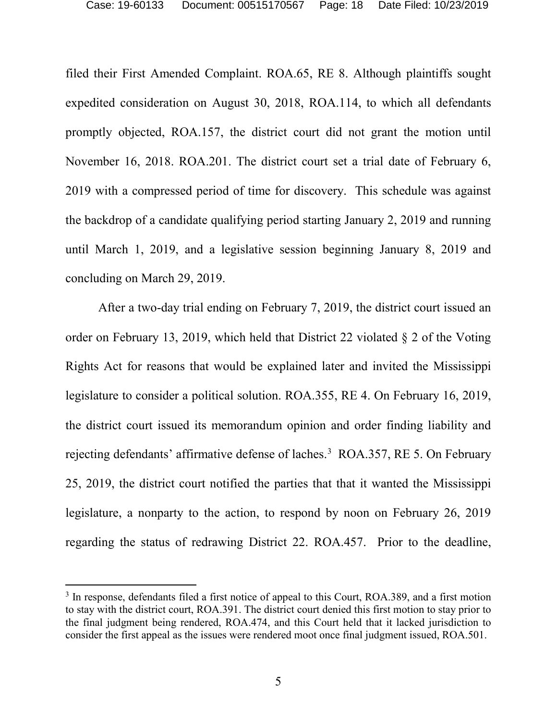filed their First Amended Complaint. ROA.65, RE 8. Although plaintiffs sought expedited consideration on August 30, 2018, ROA.114, to which all defendants promptly objected, ROA.157, the district court did not grant the motion until November 16, 2018. ROA.201. The district court set a trial date of February 6, 2019 with a compressed period of time for discovery. This schedule was against the backdrop of a candidate qualifying period starting January 2, 2019 and running until March 1, 2019, and a legislative session beginning January 8, 2019 and concluding on March 29, 2019.

After a two-day trial ending on February 7, 2019, the district court issued an order on February 13, 2019, which held that District 22 violated § 2 of the Voting Rights Act for reasons that would be explained later and invited the Mississippi legislature to consider a political solution. ROA.355, RE 4. On February 16, 2019, the district court issued its memorandum opinion and order finding liability and rejecting defendants' affirmative defense of laches.<sup>[3](#page-17-0)</sup> ROA.357, RE 5. On February 25, 2019, the district court notified the parties that that it wanted the Mississippi legislature, a nonparty to the action, to respond by noon on February 26, 2019 regarding the status of redrawing District 22. ROA.457. Prior to the deadline,

<span id="page-17-0"></span><sup>&</sup>lt;sup>3</sup> In response, defendants filed a first notice of appeal to this Court, ROA.389, and a first motion to stay with the district court, ROA.391. The district court denied this first motion to stay prior to the final judgment being rendered, ROA.474, and this Court held that it lacked jurisdiction to consider the first appeal as the issues were rendered moot once final judgment issued, ROA.501.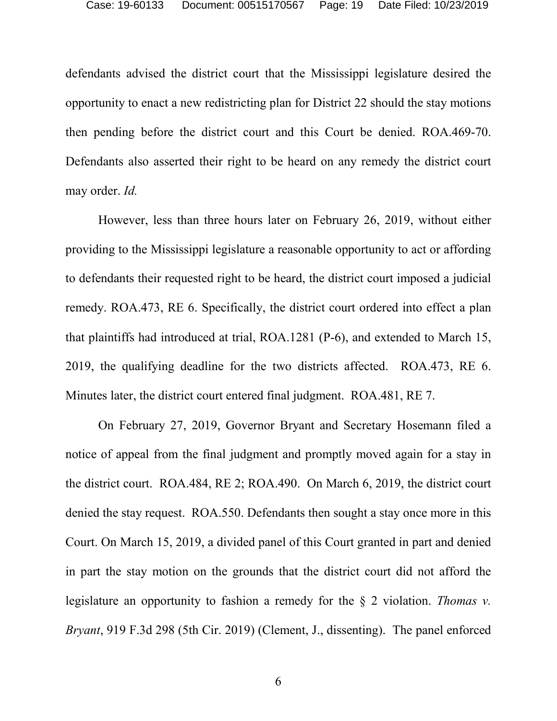defendants advised the district court that the Mississippi legislature desired the opportunity to enact a new redistricting plan for District 22 should the stay motions then pending before the district court and this Court be denied. ROA.469-70. Defendants also asserted their right to be heard on any remedy the district court may order. *Id.*

However, less than three hours later on February 26, 2019, without either providing to the Mississippi legislature a reasonable opportunity to act or affording to defendants their requested right to be heard, the district court imposed a judicial remedy. ROA.473, RE 6. Specifically, the district court ordered into effect a plan that plaintiffs had introduced at trial, ROA.1281 (P-6), and extended to March 15, 2019, the qualifying deadline for the two districts affected. ROA.473, RE 6. Minutes later, the district court entered final judgment. ROA.481, RE 7.

On February 27, 2019, Governor Bryant and Secretary Hosemann filed a notice of appeal from the final judgment and promptly moved again for a stay in the district court. ROA.484, RE 2; ROA.490. On March 6, 2019, the district court denied the stay request. ROA.550. Defendants then sought a stay once more in this Court. On March 15, 2019, a divided panel of this Court granted in part and denied in part the stay motion on the grounds that the district court did not afford the legislature an opportunity to fashion a remedy for the § 2 violation. *Thomas v. Bryant*, 919 F.3d 298 (5th Cir. 2019) (Clement, J., dissenting). The panel enforced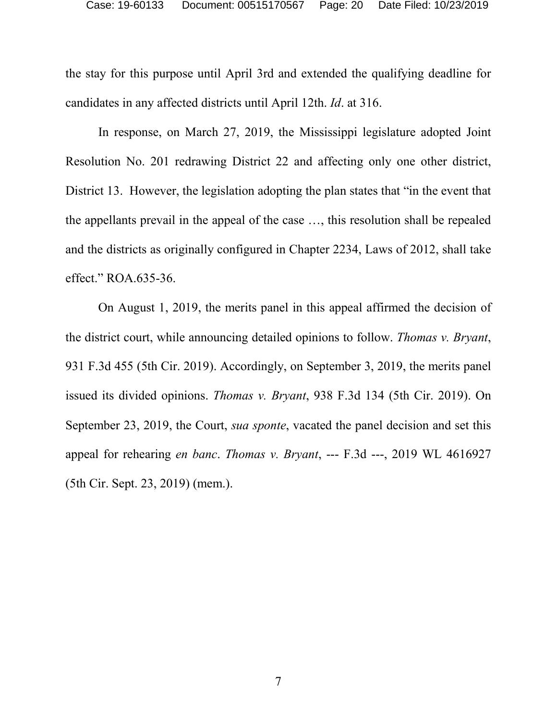the stay for this purpose until April 3rd and extended the qualifying deadline for candidates in any affected districts until April 12th. *Id*. at 316.

In response, on March 27, 2019, the Mississippi legislature adopted Joint Resolution No. 201 redrawing District 22 and affecting only one other district, District 13. However, the legislation adopting the plan states that "in the event that the appellants prevail in the appeal of the case …, this resolution shall be repealed and the districts as originally configured in Chapter 2234, Laws of 2012, shall take effect." ROA.635-36.

On August 1, 2019, the merits panel in this appeal affirmed the decision of the district court, while announcing detailed opinions to follow. *Thomas v. Bryant*, 931 F.3d 455 (5th Cir. 2019). Accordingly, on September 3, 2019, the merits panel issued its divided opinions. *Thomas v. Bryant*, 938 F.3d 134 (5th Cir. 2019). On September 23, 2019, the Court, *sua sponte*, vacated the panel decision and set this appeal for rehearing *en banc*. *Thomas v. Bryant*, --- F.3d ---, 2019 WL 4616927 (5th Cir. Sept. 23, 2019) (mem.).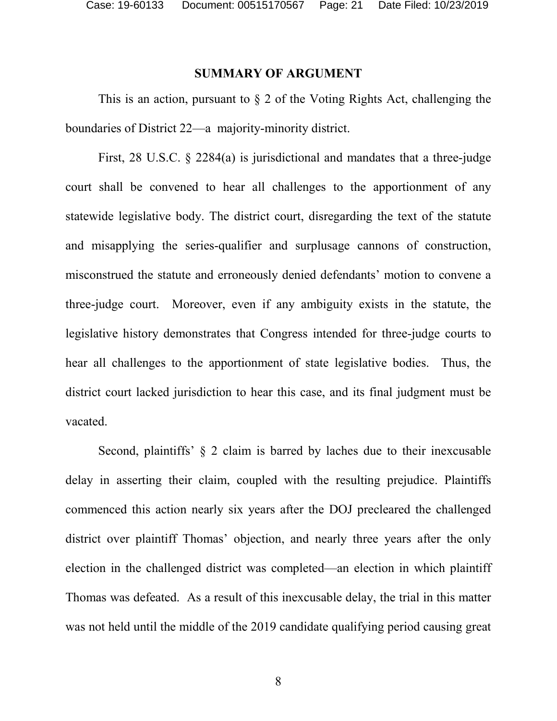### **SUMMARY OF ARGUMENT**

<span id="page-20-0"></span>This is an action, pursuant to § 2 of the Voting Rights Act, challenging the boundaries of District 22—a majority-minority district.

First, 28 U.S.C. § 2284(a) is jurisdictional and mandates that a three-judge court shall be convened to hear all challenges to the apportionment of any statewide legislative body. The district court, disregarding the text of the statute and misapplying the series-qualifier and surplusage cannons of construction, misconstrued the statute and erroneously denied defendants' motion to convene a three-judge court. Moreover, even if any ambiguity exists in the statute, the legislative history demonstrates that Congress intended for three-judge courts to hear all challenges to the apportionment of state legislative bodies. Thus, the district court lacked jurisdiction to hear this case, and its final judgment must be vacated.

Second, plaintiffs'  $\&$  2 claim is barred by laches due to their inexcusable delay in asserting their claim, coupled with the resulting prejudice. Plaintiffs commenced this action nearly six years after the DOJ precleared the challenged district over plaintiff Thomas' objection, and nearly three years after the only election in the challenged district was completed—an election in which plaintiff Thomas was defeated. As a result of this inexcusable delay, the trial in this matter was not held until the middle of the 2019 candidate qualifying period causing great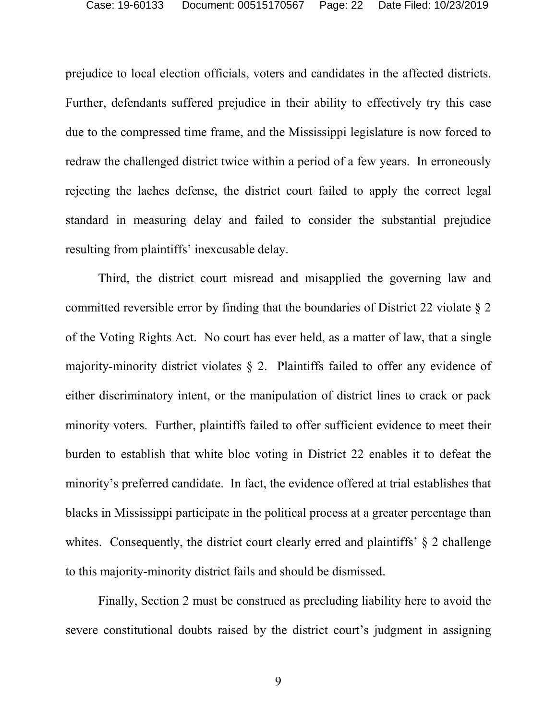prejudice to local election officials, voters and candidates in the affected districts. Further, defendants suffered prejudice in their ability to effectively try this case due to the compressed time frame, and the Mississippi legislature is now forced to redraw the challenged district twice within a period of a few years. In erroneously rejecting the laches defense, the district court failed to apply the correct legal standard in measuring delay and failed to consider the substantial prejudice resulting from plaintiffs' inexcusable delay.

Third, the district court misread and misapplied the governing law and committed reversible error by finding that the boundaries of District 22 violate § 2 of the Voting Rights Act. No court has ever held, as a matter of law, that a single majority-minority district violates § 2. Plaintiffs failed to offer any evidence of either discriminatory intent, or the manipulation of district lines to crack or pack minority voters. Further, plaintiffs failed to offer sufficient evidence to meet their burden to establish that white bloc voting in District 22 enables it to defeat the minority's preferred candidate. In fact, the evidence offered at trial establishes that blacks in Mississippi participate in the political process at a greater percentage than whites. Consequently, the district court clearly erred and plaintiffs'  $\&$  2 challenge to this majority-minority district fails and should be dismissed.

Finally, Section 2 must be construed as precluding liability here to avoid the severe constitutional doubts raised by the district court's judgment in assigning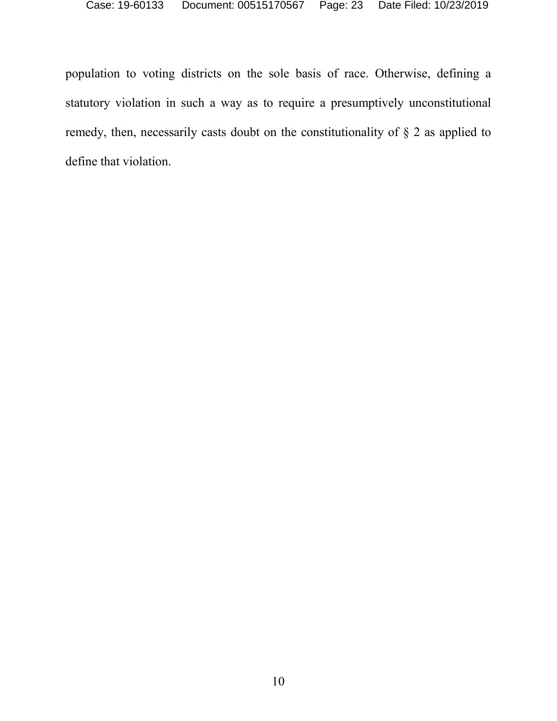population to voting districts on the sole basis of race. Otherwise, defining a statutory violation in such a way as to require a presumptively unconstitutional remedy, then, necessarily casts doubt on the constitutionality of § 2 as applied to define that violation.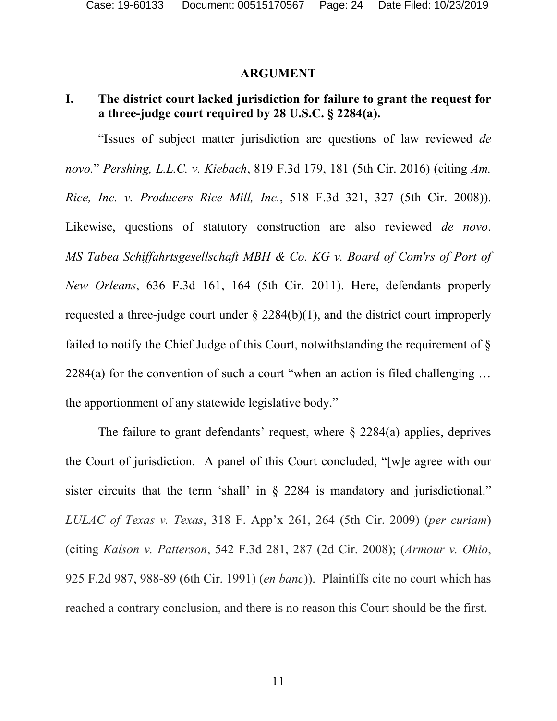### **ARGUMENT**

# <span id="page-23-1"></span><span id="page-23-0"></span>**I. The district court lacked jurisdiction for failure to grant the request for a three-judge court required by 28 U.S.C. § 2284(a).**

"Issues of subject matter jurisdiction are questions of law reviewed *de novo.*" *Pershing, L.L.C. v. Kiebach*, 819 F.3d 179, 181 (5th Cir. 2016) (citing *Am. Rice, Inc. v. Producers Rice Mill, Inc.*, 518 F.3d 321, 327 (5th Cir. 2008)). Likewise, questions of statutory construction are also reviewed *de novo*. *MS Tabea Schiffahrtsgesellschaft MBH & Co. KG v. Board of Com'rs of Port of New Orleans*, 636 F.3d 161, 164 (5th Cir. 2011). Here, defendants properly requested a three-judge court under § 2284(b)(1), and the district court improperly failed to notify the Chief Judge of this Court, notwithstanding the requirement of §  $2284(a)$  for the convention of such a court "when an action is filed challenging ... the apportionment of any statewide legislative body."

The failure to grant defendants' request, where  $\S$  2284(a) applies, deprives the Court of jurisdiction. A panel of this Court concluded, "[w]e agree with our sister circuits that the term 'shall' in § 2284 is mandatory and jurisdictional." *LULAC of Texas v. Texas*, 318 F. App'x 261, 264 (5th Cir. 2009) (*per curiam*) (citing *Kalson v. Patterson*, 542 F.3d 281, 287 (2d Cir. 2008); (*Armour v. Ohio*, 925 F.2d 987, 988-89 (6th Cir. 1991) (*en banc*)). Plaintiffs cite no court which has reached a contrary conclusion, and there is no reason this Court should be the first.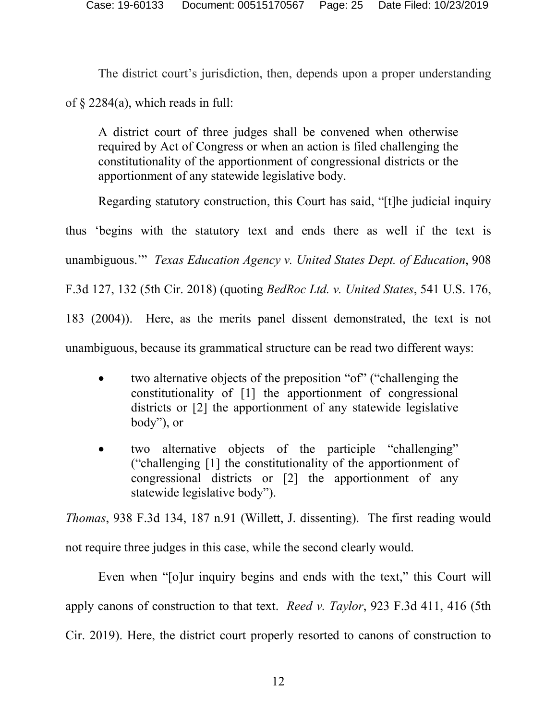The district court's jurisdiction, then, depends upon a proper understanding

of § 2284(a), which reads in full:

A district court of three judges shall be convened when otherwise required by Act of Congress or when an action is filed challenging the constitutionality of the apportionment of congressional districts or the apportionment of any statewide legislative body.

Regarding statutory construction, this Court has said, "[t]he judicial inquiry

thus 'begins with the statutory text and ends there as well if the text is

unambiguous.'" *Texas Education Agency v. United States Dept. of Education*, 908

F.3d 127, 132 (5th Cir. 2018) (quoting *BedRoc Ltd. v. United States*, 541 U.S. 176,

183 (2004)). Here, as the merits panel dissent demonstrated, the text is not

unambiguous, because its grammatical structure can be read two different ways:

- two alternative objects of the preposition "of" ("challenging the constitutionality of [1] the apportionment of congressional districts or [2] the apportionment of any statewide legislative body"), or
- two alternative objects of the participle "challenging" ("challenging [1] the constitutionality of the apportionment of congressional districts or [2] the apportionment of any statewide legislative body").

*Thomas*, 938 F.3d 134, 187 n.91 (Willett, J. dissenting). The first reading would not require three judges in this case, while the second clearly would.

Even when "[o]ur inquiry begins and ends with the text," this Court will apply canons of construction to that text. *Reed v. Taylor*, 923 F.3d 411, 416 (5th Cir. 2019). Here, the district court properly resorted to canons of construction to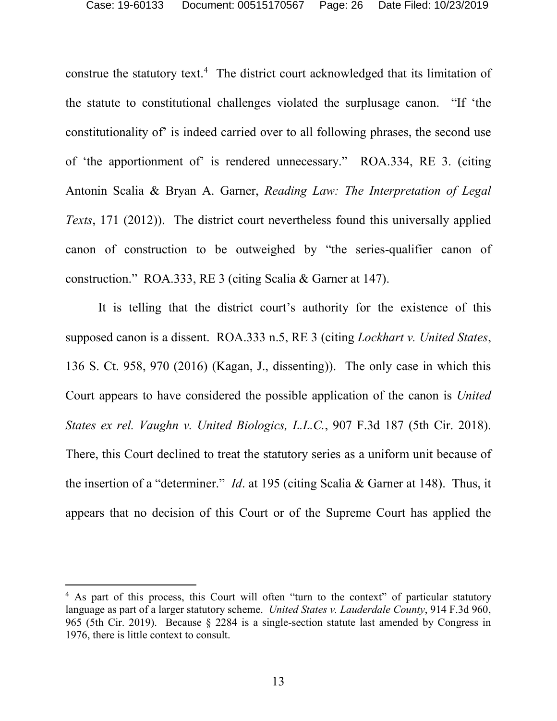construe the statutory text.<sup>[4](#page-25-0)</sup> The district court acknowledged that its limitation of the statute to constitutional challenges violated the surplusage canon. "If 'the constitutionality of' is indeed carried over to all following phrases, the second use of 'the apportionment of' is rendered unnecessary." ROA.334, RE 3. (citing Antonin Scalia & Bryan A. Garner, *Reading Law: The Interpretation of Legal Texts*, 171 (2012)). The district court nevertheless found this universally applied canon of construction to be outweighed by "the series-qualifier canon of construction." ROA.333, RE 3 (citing Scalia & Garner at 147).

It is telling that the district court's authority for the existence of this supposed canon is a dissent. ROA.333 n.5, RE 3 (citing *Lockhart v. United States*, 136 S. Ct. 958, 970 (2016) (Kagan, J., dissenting)). The only case in which this Court appears to have considered the possible application of the canon is *United States ex rel. Vaughn v. United Biologics, L.L.C.*, 907 F.3d 187 (5th Cir. 2018). There, this Court declined to treat the statutory series as a uniform unit because of the insertion of a "determiner." *Id*. at 195 (citing Scalia & Garner at 148). Thus, it appears that no decision of this Court or of the Supreme Court has applied the

<span id="page-25-0"></span><sup>&</sup>lt;sup>4</sup> As part of this process, this Court will often "turn to the context" of particular statutory language as part of a larger statutory scheme. *United States v. Lauderdale County*, 914 F.3d 960, 965 (5th Cir. 2019). Because § 2284 is a single-section statute last amended by Congress in 1976, there is little context to consult.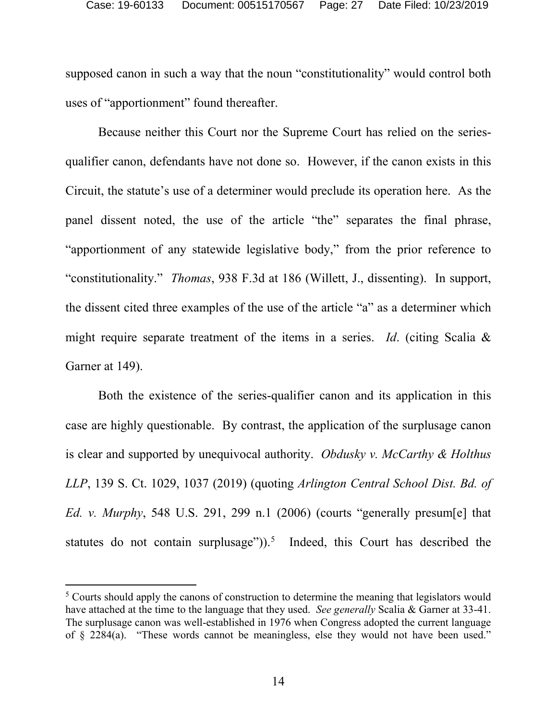supposed canon in such a way that the noun "constitutionality" would control both uses of "apportionment" found thereafter.

Because neither this Court nor the Supreme Court has relied on the seriesqualifier canon, defendants have not done so. However, if the canon exists in this Circuit, the statute's use of a determiner would preclude its operation here. As the panel dissent noted, the use of the article "the" separates the final phrase, "apportionment of any statewide legislative body," from the prior reference to "constitutionality." *Thomas*, 938 F.3d at 186 (Willett, J., dissenting). In support, the dissent cited three examples of the use of the article "a" as a determiner which might require separate treatment of the items in a series. *Id*. (citing Scalia & Garner at 149).

Both the existence of the series-qualifier canon and its application in this case are highly questionable. By contrast, the application of the surplusage canon is clear and supported by unequivocal authority. *Obdusky v. McCarthy & Holthus LLP*, 139 S. Ct. 1029, 1037 (2019) (quoting *Arlington Central School Dist. Bd. of Ed. v. Murphy*, 548 U.S. 291, 299 n.1 (2006) (courts "generally presum[e] that statutes do not contain surplusage")).<sup>[5](#page-26-0)</sup> Indeed, this Court has described the

<span id="page-26-0"></span><sup>&</sup>lt;sup>5</sup> Courts should apply the canons of construction to determine the meaning that legislators would have attached at the time to the language that they used. *See generally* Scalia & Garner at 33-41. The surplusage canon was well-established in 1976 when Congress adopted the current language of § 2284(a). "These words cannot be meaningless, else they would not have been used."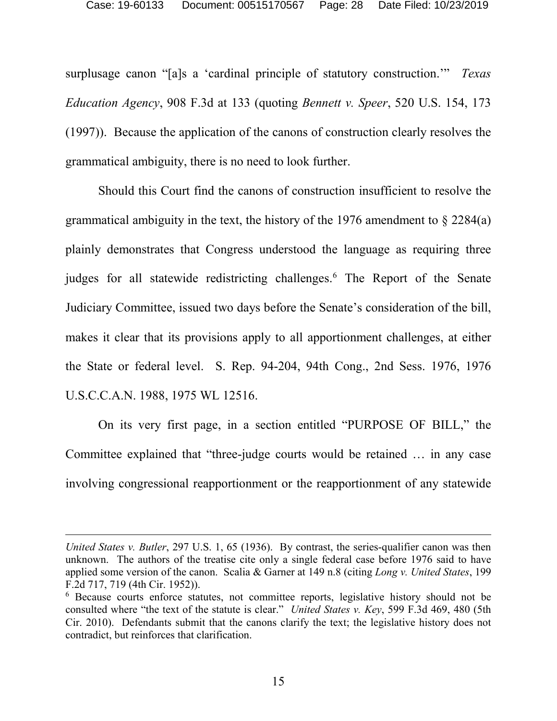surplusage canon "[a]s a 'cardinal principle of statutory construction.'" *Texas Education Agency*, 908 F.3d at 133 (quoting *Bennett v. Speer*, 520 U.S. 154, 173 (1997)). Because the application of the canons of construction clearly resolves the grammatical ambiguity, there is no need to look further.

Should this Court find the canons of construction insufficient to resolve the grammatical ambiguity in the text, the history of the 1976 amendment to § 2284(a) plainly demonstrates that Congress understood the language as requiring three judges for all statewide redistricting challenges.<sup>[6](#page-27-0)</sup> The Report of the Senate Judiciary Committee, issued two days before the Senate's consideration of the bill, makes it clear that its provisions apply to all apportionment challenges, at either the State or federal level. S. Rep. 94-204, 94th Cong., 2nd Sess. 1976, 1976 U.S.C.C.A.N. 1988, 1975 WL 12516.

On its very first page, in a section entitled "PURPOSE OF BILL," the Committee explained that "three-judge courts would be retained … in any case involving congressional reapportionment or the reapportionment of any statewide

 $\overline{a}$ 

*United States v. Butler*, 297 U.S. 1, 65 (1936). By contrast, the series-qualifier canon was then unknown. The authors of the treatise cite only a single federal case before 1976 said to have applied some version of the canon. Scalia & Garner at 149 n.8 (citing *Long v. United States*, 199 F.2d 717, 719 (4th Cir. 1952)).

<span id="page-27-0"></span><sup>6</sup> Because courts enforce statutes, not committee reports, legislative history should not be consulted where "the text of the statute is clear." *United States v. Key*, 599 F.3d 469, 480 (5th Cir. 2010). Defendants submit that the canons clarify the text; the legislative history does not contradict, but reinforces that clarification.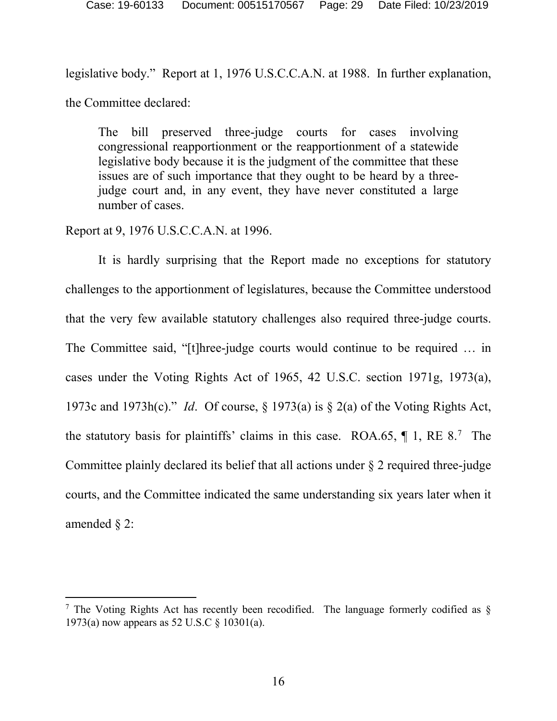legislative body." Report at 1, 1976 U.S.C.C.A.N. at 1988. In further explanation, the Committee declared:

The bill preserved three-judge courts for cases involving congressional reapportionment or the reapportionment of a statewide legislative body because it is the judgment of the committee that these issues are of such importance that they ought to be heard by a threejudge court and, in any event, they have never constituted a large number of cases.

Report at 9, 1976 U.S.C.C.A.N. at 1996.

It is hardly surprising that the Report made no exceptions for statutory challenges to the apportionment of legislatures, because the Committee understood that the very few available statutory challenges also required three-judge courts. The Committee said, "[t]hree-judge courts would continue to be required … in cases under the Voting Rights Act of 1965, 42 U.S.C. section 1971g, 1973(a), 1973c and 1973h(c)." *Id*. Of course, § 1973(a) is § 2(a) of the Voting Rights Act, the statutory basis for plaintiffs' claims in this case. ROA.65,  $\P$  1, RE 8.<sup>[7](#page-28-0)</sup> The Committee plainly declared its belief that all actions under § 2 required three-judge courts, and the Committee indicated the same understanding six years later when it amended § 2:

<span id="page-28-0"></span><sup>&</sup>lt;sup>7</sup> The Voting Rights Act has recently been recodified. The language formerly codified as  $\S$ 1973(a) now appears as 52 U.S.C § 10301(a).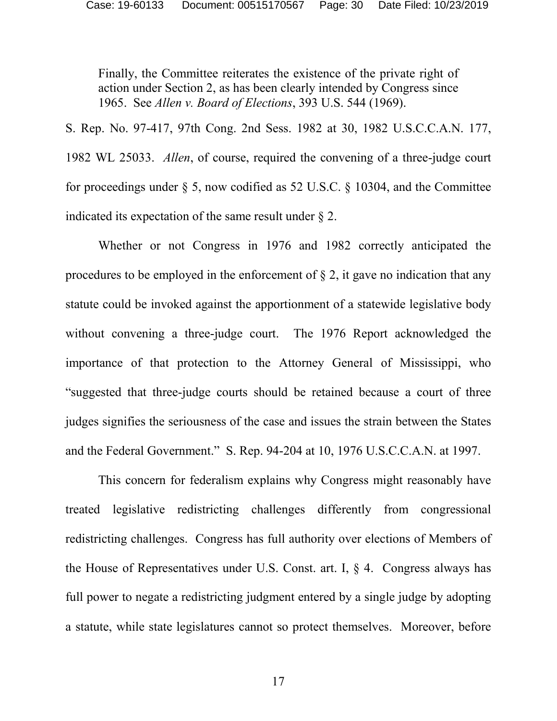Finally, the Committee reiterates the existence of the private right of action under Section 2, as has been clearly intended by Congress since 1965. See *Allen v. Board of Elections*, 393 U.S. 544 (1969).

S. Rep. No. 97-417, 97th Cong. 2nd Sess. 1982 at 30, 1982 U.S.C.C.A.N. 177, 1982 WL 25033. *Allen*, of course, required the convening of a three-judge court for proceedings under § 5, now codified as 52 U.S.C. § 10304, and the Committee indicated its expectation of the same result under § 2.

Whether or not Congress in 1976 and 1982 correctly anticipated the procedures to be employed in the enforcement of § 2, it gave no indication that any statute could be invoked against the apportionment of a statewide legislative body without convening a three-judge court. The 1976 Report acknowledged the importance of that protection to the Attorney General of Mississippi, who "suggested that three-judge courts should be retained because a court of three judges signifies the seriousness of the case and issues the strain between the States and the Federal Government." S. Rep. 94-204 at 10, 1976 U.S.C.C.A.N. at 1997.

This concern for federalism explains why Congress might reasonably have treated legislative redistricting challenges differently from congressional redistricting challenges. Congress has full authority over elections of Members of the House of Representatives under U.S. Const. art. I, § 4. Congress always has full power to negate a redistricting judgment entered by a single judge by adopting a statute, while state legislatures cannot so protect themselves. Moreover, before

17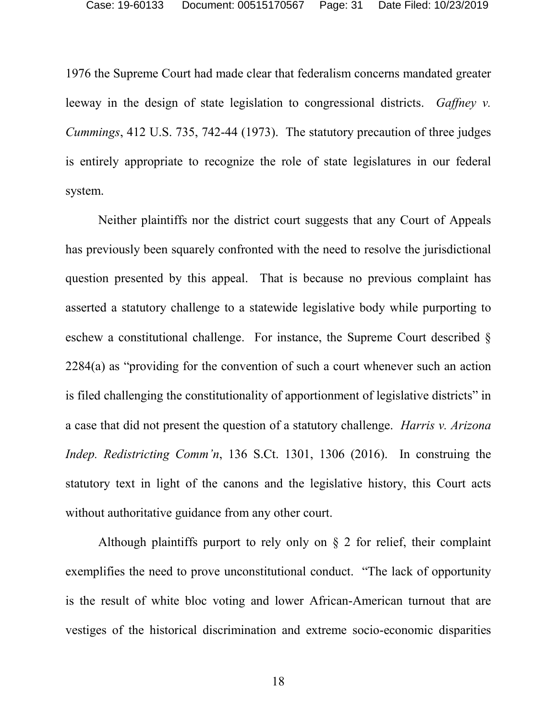1976 the Supreme Court had made clear that federalism concerns mandated greater leeway in the design of state legislation to congressional districts. *Gaffney v. Cummings*, 412 U.S. 735, 742-44 (1973). The statutory precaution of three judges is entirely appropriate to recognize the role of state legislatures in our federal system.

Neither plaintiffs nor the district court suggests that any Court of Appeals has previously been squarely confronted with the need to resolve the jurisdictional question presented by this appeal. That is because no previous complaint has asserted a statutory challenge to a statewide legislative body while purporting to eschew a constitutional challenge. For instance, the Supreme Court described § 2284(a) as "providing for the convention of such a court whenever such an action is filed challenging the constitutionality of apportionment of legislative districts" in a case that did not present the question of a statutory challenge. *Harris v. Arizona Indep. Redistricting Comm'n*, 136 S.Ct. 1301, 1306 (2016). In construing the statutory text in light of the canons and the legislative history, this Court acts without authoritative guidance from any other court.

Although plaintiffs purport to rely only on § 2 for relief, their complaint exemplifies the need to prove unconstitutional conduct. "The lack of opportunity is the result of white bloc voting and lower African-American turnout that are vestiges of the historical discrimination and extreme socio-economic disparities

18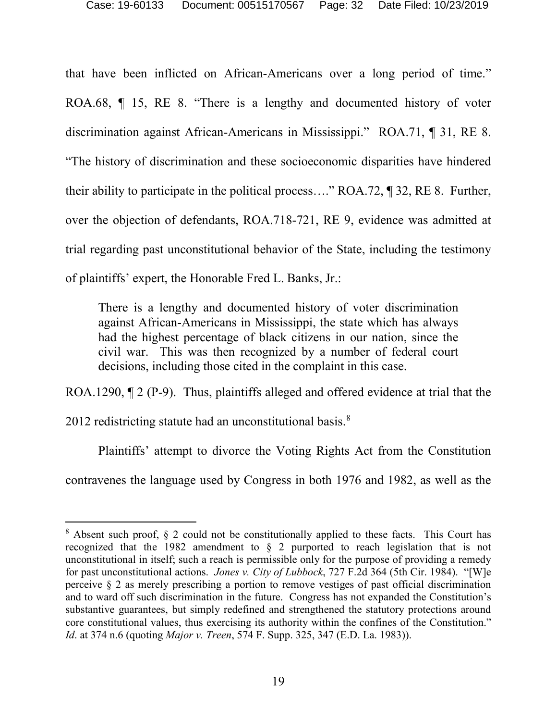that have been inflicted on African-Americans over a long period of time." ROA.68, ¶ 15, RE 8. "There is a lengthy and documented history of voter discrimination against African-Americans in Mississippi." ROA.71, ¶ 31, RE 8. "The history of discrimination and these socioeconomic disparities have hindered their ability to participate in the political process…." ROA.72, ¶ 32, RE 8. Further, over the objection of defendants, ROA.718-721, RE 9, evidence was admitted at trial regarding past unconstitutional behavior of the State, including the testimony of plaintiffs' expert, the Honorable Fred L. Banks, Jr.:

There is a lengthy and documented history of voter discrimination against African-Americans in Mississippi, the state which has always had the highest percentage of black citizens in our nation, since the civil war. This was then recognized by a number of federal court decisions, including those cited in the complaint in this case.

ROA.1290,  $\P$  2 (P-9). Thus, plaintiffs alleged and offered evidence at trial that the

2012 redistricting statute had an unconstitutional basis.<sup>[8](#page-31-0)</sup>

Plaintiffs' attempt to divorce the Voting Rights Act from the Constitution contravenes the language used by Congress in both 1976 and 1982, as well as the

<span id="page-31-0"></span> <sup>8</sup> Absent such proof, § 2 could not be constitutionally applied to these facts. This Court has recognized that the 1982 amendment to § 2 purported to reach legislation that is not unconstitutional in itself; such a reach is permissible only for the purpose of providing a remedy for past unconstitutional actions. *Jones v. City of Lubbock*, 727 F.2d 364 (5th Cir. 1984). "[W]e perceive § 2 as merely prescribing a portion to remove vestiges of past official discrimination and to ward off such discrimination in the future. Congress has not expanded the Constitution's substantive guarantees, but simply redefined and strengthened the statutory protections around core constitutional values, thus exercising its authority within the confines of the Constitution." *Id*. at 374 n.6 (quoting *Major v. Treen*, 574 F. Supp. 325, 347 (E.D. La. 1983)).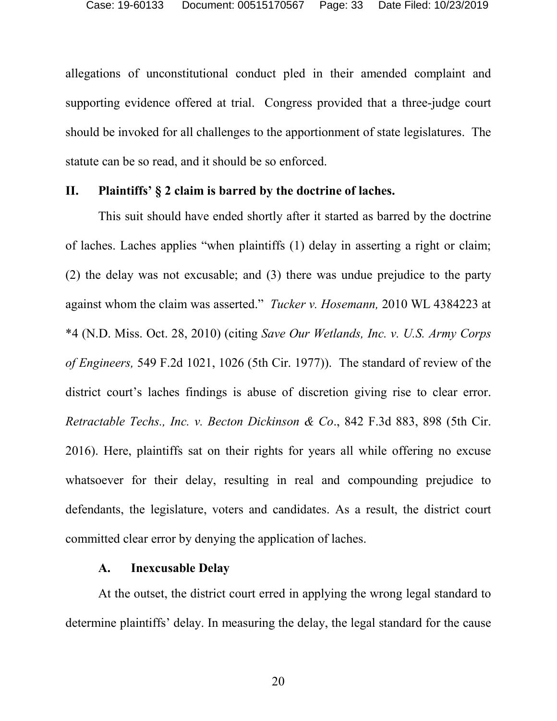allegations of unconstitutional conduct pled in their amended complaint and supporting evidence offered at trial. Congress provided that a three-judge court should be invoked for all challenges to the apportionment of state legislatures. The statute can be so read, and it should be so enforced.

### <span id="page-32-0"></span>**II. Plaintiffs' § 2 claim is barred by the doctrine of laches.**

This suit should have ended shortly after it started as barred by the doctrine of laches. Laches applies "when plaintiffs (1) delay in asserting a right or claim; (2) the delay was not excusable; and (3) there was undue prejudice to the party against whom the claim was asserted." *Tucker v. Hosemann,* 2010 WL 4384223 at \*4 (N.D. Miss. Oct. 28, 2010) (citing *Save Our Wetlands, Inc. v. U.S. Army Corps of Engineers,* 549 F.2d 1021, 1026 (5th Cir. 1977)). The standard of review of the district court's laches findings is abuse of discretion giving rise to clear error. *Retractable Techs., Inc. v. Becton Dickinson & Co*., 842 F.3d 883, 898 (5th Cir. 2016). Here, plaintiffs sat on their rights for years all while offering no excuse whatsoever for their delay, resulting in real and compounding prejudice to defendants, the legislature, voters and candidates. As a result, the district court committed clear error by denying the application of laches.

## **A. Inexcusable Delay**

<span id="page-32-1"></span>At the outset, the district court erred in applying the wrong legal standard to determine plaintiffs' delay. In measuring the delay, the legal standard for the cause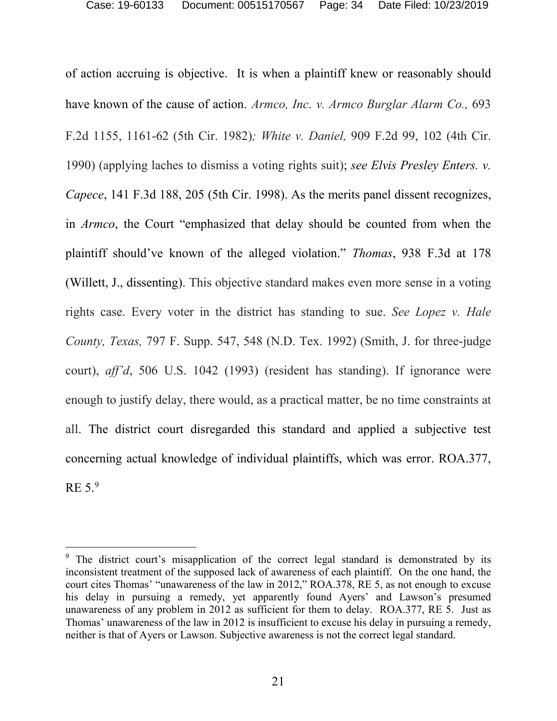of action accruing is objective. It is when a plaintiff knew or reasonably should have known of the cause of action. *Armco, Inc. v. Armco Burglar Alarm Co.,* 693 F.2d 1155, 1161-62 (5th Cir. 1982)*; White v. Daniel,* 909 F.2d 99, 102 (4th Cir. 1990) (applying laches to dismiss a voting rights suit); *see Elvis Presley Enters. v. Capece*, 141 F.3d 188, 205 (5th Cir. 1998). As the merits panel dissent recognizes, in *Armco*, the Court "emphasized that delay should be counted from when the plaintiff should've known of the alleged violation." *Thomas*, 938 F.3d at 178 (Willett, J., dissenting). This objective standard makes even more sense in a voting rights case. Every voter in the district has standing to sue. *See Lopez v. Hale County, Texas,* 797 F. Supp. 547, 548 (N.D. Tex. 1992) (Smith, J. for three-judge court), *aff'd*, 506 U.S. 1042 (1993) (resident has standing). If ignorance were enough to justify delay, there would, as a practical matter, be no time constraints at all. The district court disregarded this standard and applied a subjective test concerning actual knowledge of individual plaintiffs, which was error. ROA.377, RE  $5.<sup>9</sup>$  $5.<sup>9</sup>$  $5.<sup>9</sup>$ 

<span id="page-33-0"></span><sup>&</sup>lt;sup>9</sup> The district court's misapplication of the correct legal standard is demonstrated by its inconsistent treatment of the supposed lack of awareness of each plaintiff. On the one hand, the court cites Thomas' "unawareness of the law in 2012," ROA.378, RE 5, as not enough to excuse his delay in pursuing a remedy, yet apparently found Ayers' and Lawson's presumed unawareness of any problem in 2012 as sufficient for them to delay. ROA.377, RE 5. Just as Thomas' unawareness of the law in 2012 is insufficient to excuse his delay in pursuing a remedy, neither is that of Ayers or Lawson. Subjective awareness is not the correct legal standard.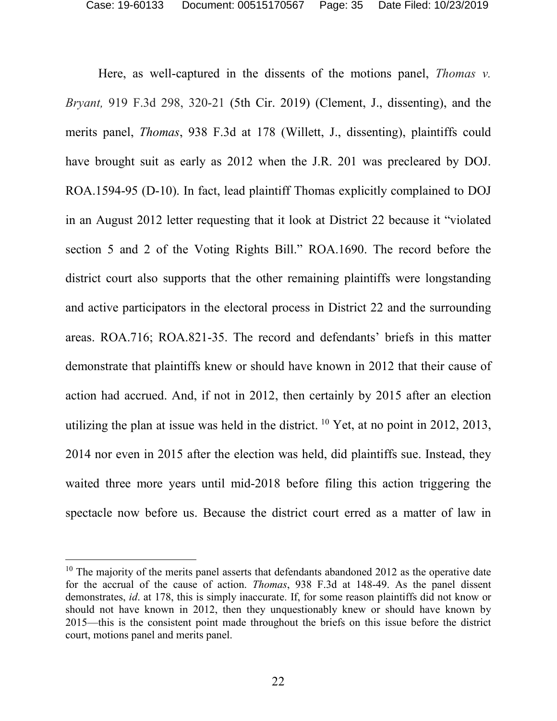Here, as well-captured in the dissents of the motions panel, *Thomas v. Bryant,* 919 F.3d 298, 320-21 (5th Cir. 2019) (Clement, J., dissenting), and the merits panel, *Thomas*, 938 F.3d at 178 (Willett, J., dissenting), plaintiffs could have brought suit as early as 2012 when the J.R. 201 was precleared by DOJ. ROA.1594-95 (D-10). In fact, lead plaintiff Thomas explicitly complained to DOJ in an August 2012 letter requesting that it look at District 22 because it "violated section 5 and 2 of the Voting Rights Bill." ROA.1690. The record before the district court also supports that the other remaining plaintiffs were longstanding and active participators in the electoral process in District 22 and the surrounding areas. ROA.716; ROA.821-35. The record and defendants' briefs in this matter demonstrate that plaintiffs knew or should have known in 2012 that their cause of action had accrued. And, if not in 2012, then certainly by 2015 after an election utilizing the plan at issue was held in the district.  $^{10}$  $^{10}$  $^{10}$  Yet, at no point in 2012, 2013, 2014 nor even in 2015 after the election was held, did plaintiffs sue. Instead, they waited three more years until mid-2018 before filing this action triggering the spectacle now before us. Because the district court erred as a matter of law in

<span id="page-34-0"></span> $10$  The majority of the merits panel asserts that defendants abandoned 2012 as the operative date for the accrual of the cause of action. *Thomas*, 938 F.3d at 148-49. As the panel dissent demonstrates, *id*. at 178, this is simply inaccurate. If, for some reason plaintiffs did not know or should not have known in 2012, then they unquestionably knew or should have known by 2015—this is the consistent point made throughout the briefs on this issue before the district court, motions panel and merits panel.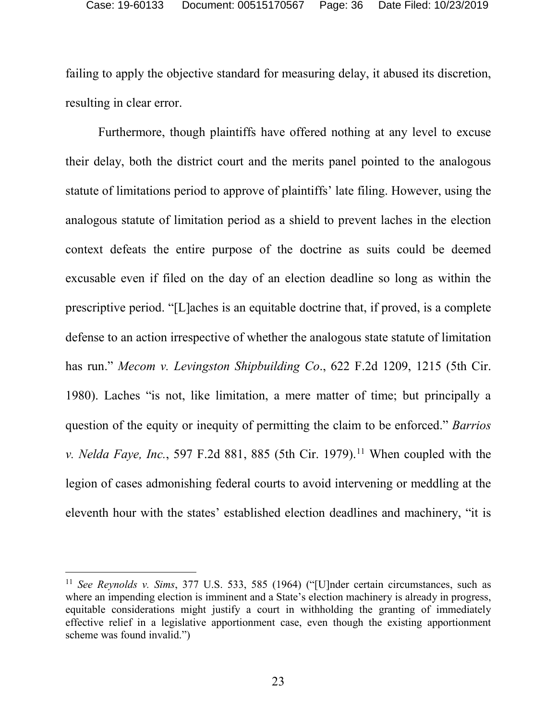failing to apply the objective standard for measuring delay, it abused its discretion, resulting in clear error.

Furthermore, though plaintiffs have offered nothing at any level to excuse their delay, both the district court and the merits panel pointed to the analogous statute of limitations period to approve of plaintiffs' late filing. However, using the analogous statute of limitation period as a shield to prevent laches in the election context defeats the entire purpose of the doctrine as suits could be deemed excusable even if filed on the day of an election deadline so long as within the prescriptive period. "[L]aches is an equitable doctrine that, if proved, is a complete defense to an action irrespective of whether the analogous state statute of limitation has run." *Mecom v. Levingston Shipbuilding Co*., 622 F.2d 1209, 1215 (5th Cir. 1980). Laches "is not, like limitation, a mere matter of time; but principally a question of the equity or inequity of permitting the claim to be enforced." *Barrios v. Nelda Faye, Inc.*, 597 F.2d 881, 885 (5th Cir. 1979).<sup>[11](#page-35-0)</sup> When coupled with the legion of cases admonishing federal courts to avoid intervening or meddling at the eleventh hour with the states' established election deadlines and machinery, "it is

<span id="page-35-0"></span> <sup>11</sup> *See Reynolds v. Sims*, 377 U.S. 533, 585 (1964) ("[U]nder certain circumstances, such as where an impending election is imminent and a State's election machinery is already in progress, equitable considerations might justify a court in withholding the granting of immediately effective relief in a legislative apportionment case, even though the existing apportionment scheme was found invalid.")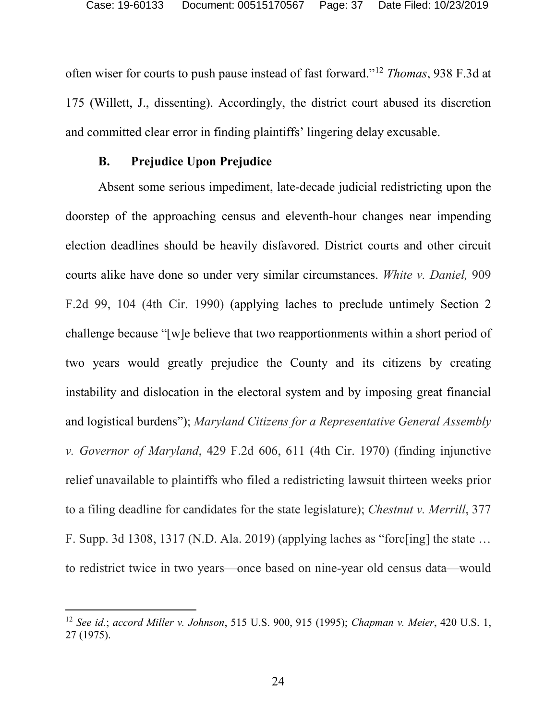often wiser for courts to push pause instead of fast forward."[12](#page-36-1) *Thomas*, 938 F.3d at 175 (Willett, J., dissenting). Accordingly, the district court abused its discretion and committed clear error in finding plaintiffs' lingering delay excusable.

## **B. Prejudice Upon Prejudice**

<span id="page-36-0"></span>Absent some serious impediment, late-decade judicial redistricting upon the doorstep of the approaching census and eleventh-hour changes near impending election deadlines should be heavily disfavored. District courts and other circuit courts alike have done so under very similar circumstances. *White v. Daniel,* 909 F.2d 99, 104 (4th Cir. 1990) (applying laches to preclude untimely Section 2 challenge because "[w]e believe that two reapportionments within a short period of two years would greatly prejudice the County and its citizens by creating instability and dislocation in the electoral system and by imposing great financial and logistical burdens"); *Maryland Citizens for a Representative General Assembly v. Governor of Maryland*, 429 F.2d 606, 611 (4th Cir. 1970) (finding injunctive relief unavailable to plaintiffs who filed a redistricting lawsuit thirteen weeks prior to a filing deadline for candidates for the state legislature); *Chestnut v. Merrill*, 377 F. Supp. 3d 1308, 1317 (N.D. Ala. 2019) (applying laches as "forc[ing] the state … to redistrict twice in two years—once based on nine-year old census data—would

<span id="page-36-1"></span> <sup>12</sup> *See id.*; *accord Miller v. Johnson*, 515 U.S. 900, 915 (1995); *Chapman v. Meier*, 420 U.S. 1, 27 (1975).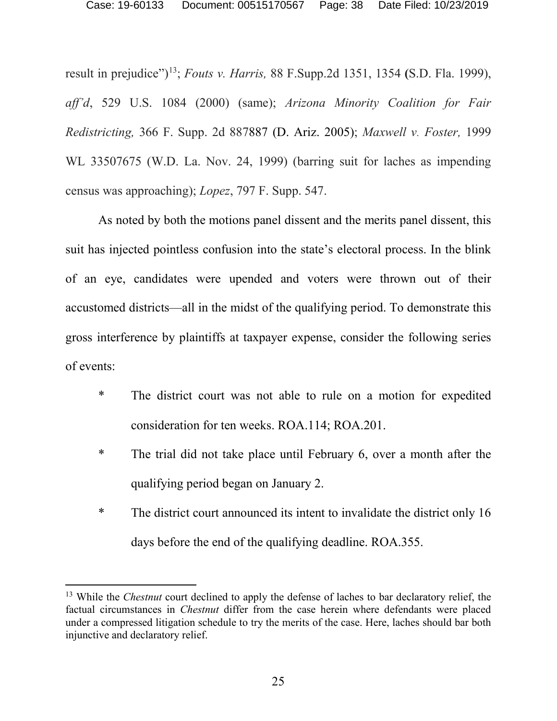result in prejudice")[13;](#page-37-0) *Fouts v. Harris,* 88 F.Supp.2d 1351, 1354 **(**S.D. Fla. 1999), *aff'd*, 529 U.S. 1084 (2000) (same); *Arizona Minority Coalition for Fair Redistricting,* 366 F. Supp. 2d 887887 (D. Ariz. 2005); *Maxwell v. Foster,* 1999 WL 33507675 (W.D. La. Nov. 24, 1999) (barring suit for laches as impending census was approaching); *Lopez*, 797 F. Supp. 547.

As noted by both the motions panel dissent and the merits panel dissent, this suit has injected pointless confusion into the state's electoral process. In the blink of an eye, candidates were upended and voters were thrown out of their accustomed districts—all in the midst of the qualifying period. To demonstrate this gross interference by plaintiffs at taxpayer expense, consider the following series of events:

- \* The district court was not able to rule on a motion for expedited consideration for ten weeks. ROA.114; ROA.201.
- \* The trial did not take place until February 6, over a month after the qualifying period began on January 2.
- \* The district court announced its intent to invalidate the district only 16 days before the end of the qualifying deadline. ROA.355.

<span id="page-37-0"></span><sup>&</sup>lt;sup>13</sup> While the *Chestnut* court declined to apply the defense of laches to bar declaratory relief, the factual circumstances in *Chestnut* differ from the case herein where defendants were placed under a compressed litigation schedule to try the merits of the case. Here, laches should bar both injunctive and declaratory relief.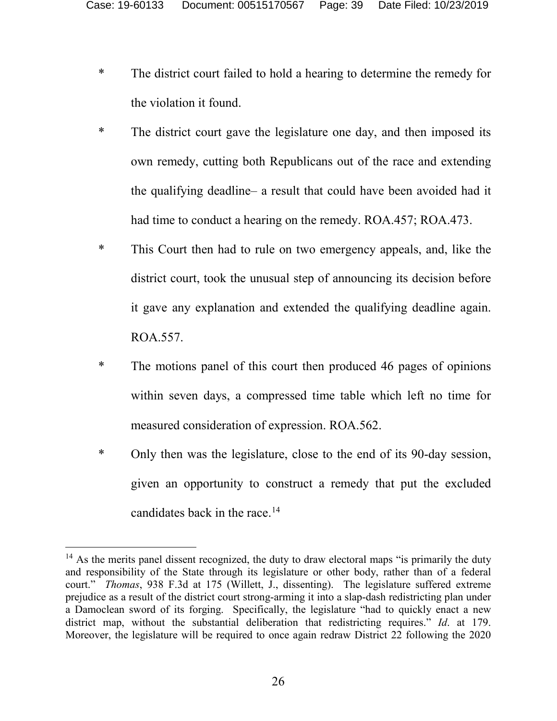- \* The district court failed to hold a hearing to determine the remedy for the violation it found.
- \* The district court gave the legislature one day, and then imposed its own remedy, cutting both Republicans out of the race and extending the qualifying deadline– a result that could have been avoided had it had time to conduct a hearing on the remedy. ROA.457; ROA.473.
- \* This Court then had to rule on two emergency appeals, and, like the district court, took the unusual step of announcing its decision before it gave any explanation and extended the qualifying deadline again. ROA.557.
- \* The motions panel of this court then produced 46 pages of opinions within seven days, a compressed time table which left no time for measured consideration of expression. ROA.562.
- \* Only then was the legislature, close to the end of its 90-day session, given an opportunity to construct a remedy that put the excluded candidates back in the race.[14](#page-38-0)

<span id="page-38-0"></span> $14$  As the merits panel dissent recognized, the duty to draw electoral maps "is primarily the duty and responsibility of the State through its legislature or other body, rather than of a federal court." *Thomas*, 938 F.3d at 175 (Willett, J., dissenting). The legislature suffered extreme prejudice as a result of the district court strong-arming it into a slap-dash redistricting plan under a Damoclean sword of its forging. Specifically, the legislature "had to quickly enact a new district map, without the substantial deliberation that redistricting requires." *Id*. at 179. Moreover, the legislature will be required to once again redraw District 22 following the 2020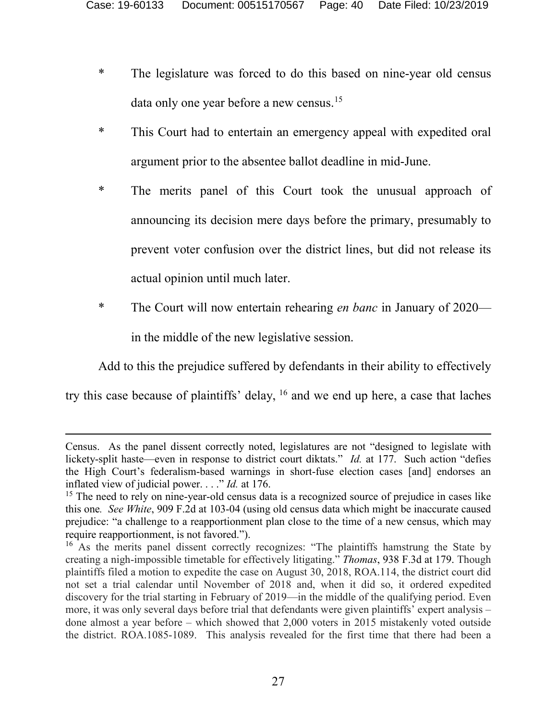- \* The legislature was forced to do this based on nine-year old census data only one year before a new census.<sup>[15](#page-39-0)</sup>
- \* This Court had to entertain an emergency appeal with expedited oral argument prior to the absentee ballot deadline in mid-June.
- \* The merits panel of this Court took the unusual approach of announcing its decision mere days before the primary, presumably to prevent voter confusion over the district lines, but did not release its actual opinion until much later.
- \* The Court will now entertain rehearing *en banc* in January of 2020 in the middle of the new legislative session.

Add to this the prejudice suffered by defendants in their ability to effectively

try this case because of plaintiffs' delay, [16](#page-39-1) and we end up here, a case that laches

 $\overline{a}$ 

Census. As the panel dissent correctly noted, legislatures are not "designed to legislate with lickety-split haste—even in response to district court diktats." *Id.* at 177. Such action "defies the High Court's federalism-based warnings in short-fuse election cases [and] endorses an inflated view of judicial power. . . ." *Id.* at 176.

<span id="page-39-0"></span><sup>&</sup>lt;sup>15</sup> The need to rely on nine-year-old census data is a recognized source of prejudice in cases like this one*. See White*, 909 F.2d at 103-04 (using old census data which might be inaccurate caused prejudice: "a challenge to a reapportionment plan close to the time of a new census, which may require reapportionment, is not favored.").

<span id="page-39-1"></span><sup>&</sup>lt;sup>16</sup> As the merits panel dissent correctly recognizes: "The plaintiffs hamstrung the State by creating a nigh-impossible timetable for effectively litigating." *Thomas*, 938 F.3d at 179. Though plaintiffs filed a motion to expedite the case on August 30, 2018, ROA.114, the district court did not set a trial calendar until November of 2018 and, when it did so, it ordered expedited discovery for the trial starting in February of 2019—in the middle of the qualifying period. Even more, it was only several days before trial that defendants were given plaintiffs' expert analysis – done almost a year before – which showed that 2,000 voters in 2015 mistakenly voted outside the district. ROA.1085-1089. This analysis revealed for the first time that there had been a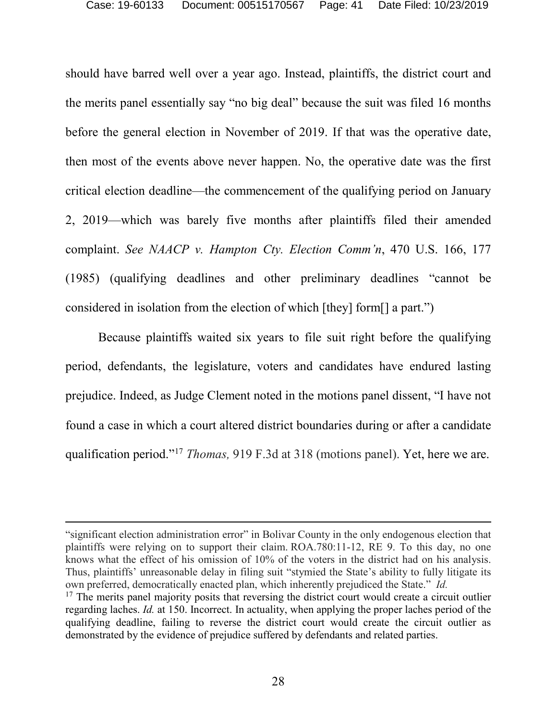should have barred well over a year ago. Instead, plaintiffs, the district court and the merits panel essentially say "no big deal" because the suit was filed 16 months before the general election in November of 2019. If that was the operative date, then most of the events above never happen. No, the operative date was the first critical election deadline—the commencement of the qualifying period on January 2, 2019—which was barely five months after plaintiffs filed their amended complaint. *See NAACP v. Hampton Cty. Election Comm'n*, 470 U.S. 166, 177 (1985) (qualifying deadlines and other preliminary deadlines "cannot be considered in isolation from the election of which [they] form[] a part.")

Because plaintiffs waited six years to file suit right before the qualifying period, defendants, the legislature, voters and candidates have endured lasting prejudice. Indeed, as Judge Clement noted in the motions panel dissent, "I have not found a case in which a court altered district boundaries during or after a candidate qualification period."[17](#page-40-0) *Thomas,* 919 F.3d at 318 (motions panel). Yet, here we are.

"significant election administration error" in Bolivar County in the only endogenous election that plaintiffs were relying on to support their claim. ROA.780:11-12, RE 9. To this day, no one knows what the effect of his omission of 10% of the voters in the district had on his analysis. Thus, plaintiffs' unreasonable delay in filing suit "stymied the State's ability to fully litigate its own preferred, democratically enacted plan, which inherently prejudiced the State." *Id.*

 $\overline{a}$ 

<span id="page-40-0"></span><sup>&</sup>lt;sup>17</sup> The merits panel majority posits that reversing the district court would create a circuit outlier regarding laches. *Id.* at 150. Incorrect. In actuality, when applying the proper laches period of the qualifying deadline, failing to reverse the district court would create the circuit outlier as demonstrated by the evidence of prejudice suffered by defendants and related parties.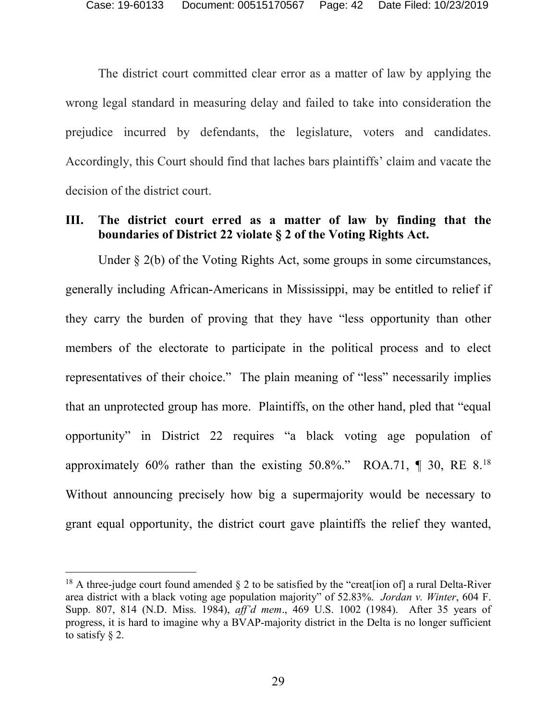The district court committed clear error as a matter of law by applying the wrong legal standard in measuring delay and failed to take into consideration the prejudice incurred by defendants, the legislature, voters and candidates. Accordingly, this Court should find that laches bars plaintiffs' claim and vacate the decision of the district court.

## <span id="page-41-0"></span>**III. The district court erred as a matter of law by finding that the boundaries of District 22 violate § 2 of the Voting Rights Act.**

Under  $\S$  2(b) of the Voting Rights Act, some groups in some circumstances, generally including African-Americans in Mississippi, may be entitled to relief if they carry the burden of proving that they have "less opportunity than other members of the electorate to participate in the political process and to elect representatives of their choice." The plain meaning of "less" necessarily implies that an unprotected group has more. Plaintiffs, on the other hand, pled that "equal opportunity" in District 22 requires "a black voting age population of approximately  $60\%$  rather than the existing  $50.8\%$ ." ROA.71, ¶ 30, RE  $8.18$  $8.18$ Without announcing precisely how big a supermajority would be necessary to grant equal opportunity, the district court gave plaintiffs the relief they wanted,

<span id="page-41-1"></span><sup>&</sup>lt;sup>18</sup> A three-judge court found amended  $\S$  2 to be satisfied by the "creat [ion of] a rural Delta-River area district with a black voting age population majority" of 52.83%. *Jordan v. Winter*, 604 F. Supp. 807, 814 (N.D. Miss. 1984), *aff'd mem*., 469 U.S. 1002 (1984). After 35 years of progress, it is hard to imagine why a BVAP-majority district in the Delta is no longer sufficient to satisfy § 2.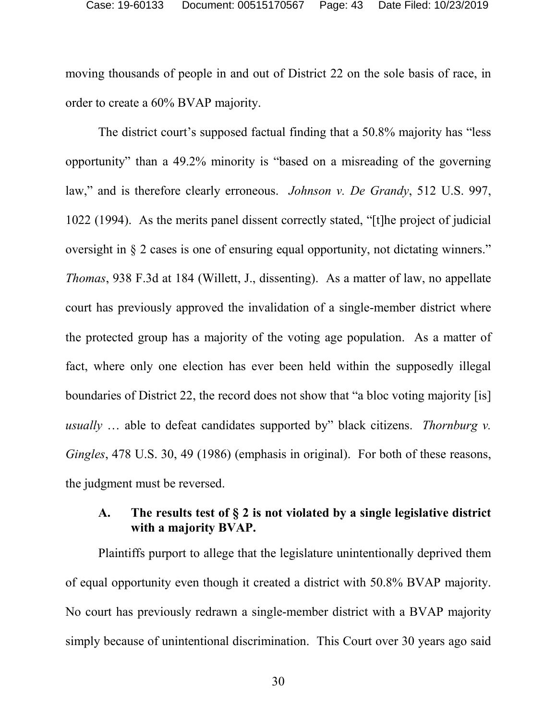moving thousands of people in and out of District 22 on the sole basis of race, in order to create a 60% BVAP majority.

The district court's supposed factual finding that a 50.8% majority has "less opportunity" than a 49.2% minority is "based on a misreading of the governing law," and is therefore clearly erroneous. *Johnson v. De Grandy*, 512 U.S. 997, 1022 (1994). As the merits panel dissent correctly stated, "[t]he project of judicial oversight in § 2 cases is one of ensuring equal opportunity, not dictating winners." *Thomas*, 938 F.3d at 184 (Willett, J., dissenting). As a matter of law, no appellate court has previously approved the invalidation of a single-member district where the protected group has a majority of the voting age population. As a matter of fact, where only one election has ever been held within the supposedly illegal boundaries of District 22, the record does not show that "a bloc voting majority [is] *usually* … able to defeat candidates supported by" black citizens. *Thornburg v. Gingles*, 478 U.S. 30, 49 (1986) (emphasis in original). For both of these reasons, the judgment must be reversed.

# <span id="page-42-0"></span>**A. The results test of § 2 is not violated by a single legislative district with a majority BVAP.**

Plaintiffs purport to allege that the legislature unintentionally deprived them of equal opportunity even though it created a district with 50.8% BVAP majority. No court has previously redrawn a single-member district with a BVAP majority simply because of unintentional discrimination. This Court over 30 years ago said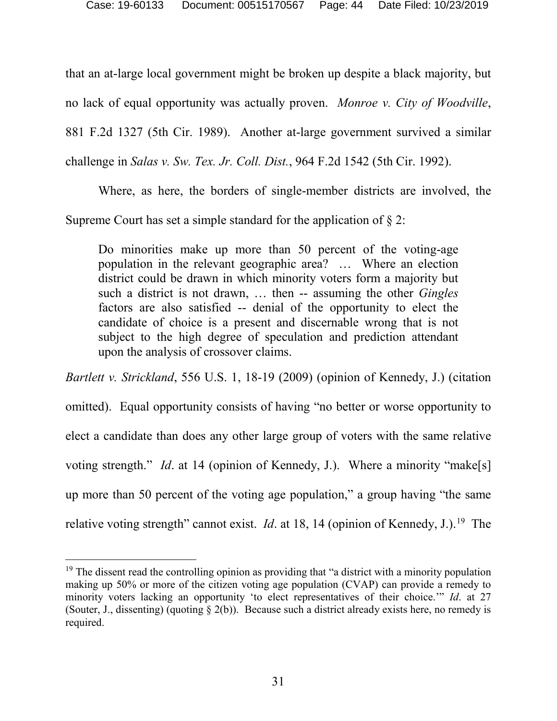that an at-large local government might be broken up despite a black majority, but no lack of equal opportunity was actually proven. *Monroe v. City of Woodville*, 881 F.2d 1327 (5th Cir. 1989). Another at-large government survived a similar challenge in *Salas v. Sw. Tex. Jr. Coll. Dist.*, 964 F.2d 1542 (5th Cir. 1992).

Where, as here, the borders of single-member districts are involved, the Supreme Court has set a simple standard for the application of  $\S 2$ :

Do minorities make up more than 50 percent of the voting-age population in the relevant geographic area? … Where an election district could be drawn in which minority voters form a majority but such a district is not drawn, … then -- assuming the other *Gingles* factors are also satisfied -- denial of the opportunity to elect the candidate of choice is a present and discernable wrong that is not subject to the high degree of speculation and prediction attendant upon the analysis of crossover claims.

*Bartlett v. Strickland*, 556 U.S. 1, 18-19 (2009) (opinion of Kennedy, J.) (citation omitted). Equal opportunity consists of having "no better or worse opportunity to elect a candidate than does any other large group of voters with the same relative voting strength." *Id.* at 14 (opinion of Kennedy, J.). Where a minority "make[s] up more than 50 percent of the voting age population," a group having "the same relative voting strength" cannot exist. *Id.* at 18, 14 (opinion of Kennedy, J.).<sup>[19](#page-43-0)</sup> The

<span id="page-43-0"></span><sup>&</sup>lt;sup>19</sup> The dissent read the controlling opinion as providing that "a district with a minority population making up 50% or more of the citizen voting age population (CVAP) can provide a remedy to minority voters lacking an opportunity 'to elect representatives of their choice.'" *Id*. at 27 (Souter, J., dissenting) (quoting § 2(b)). Because such a district already exists here, no remedy is required.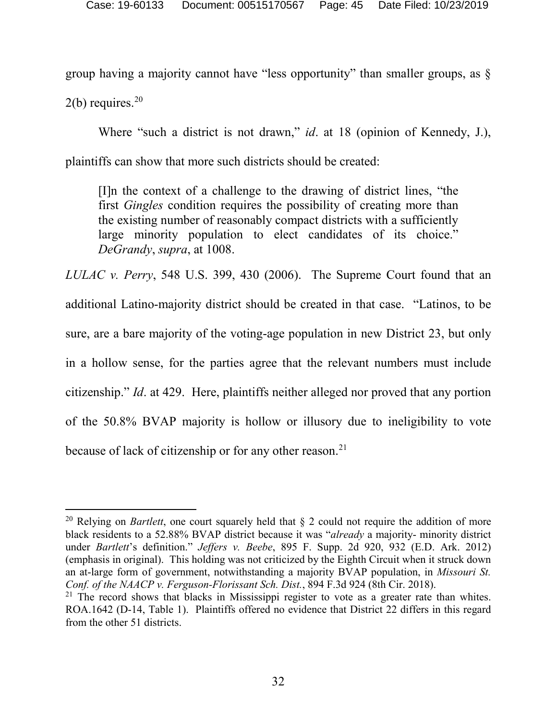group having a majority cannot have "less opportunity" than smaller groups, as §  $2(b)$  requires.<sup>[20](#page-44-0)</sup>

Where "such a district is not drawn," *id*. at 18 (opinion of Kennedy, J.), plaintiffs can show that more such districts should be created:

[I]n the context of a challenge to the drawing of district lines, "the first *Gingles* condition requires the possibility of creating more than the existing number of reasonably compact districts with a sufficiently large minority population to elect candidates of its choice." *DeGrandy*, *supra*, at 1008.

*LULAC v. Perry*, 548 U.S. 399, 430 (2006). The Supreme Court found that an additional Latino-majority district should be created in that case. "Latinos, to be sure, are a bare majority of the voting-age population in new District 23, but only in a hollow sense, for the parties agree that the relevant numbers must include citizenship." *Id*. at 429. Here, plaintiffs neither alleged nor proved that any portion of the 50.8% BVAP majority is hollow or illusory due to ineligibility to vote because of lack of citizenship or for any other reason.<sup>21</sup>

<span id="page-44-0"></span> <sup>20</sup> Relying on *Bartlett*, one court squarely held that § 2 could not require the addition of more black residents to a 52.88% BVAP district because it was "*already* a majority- minority district under *Bartlett*'s definition." *Jeffers v. Beebe*, 895 F. Supp. 2d 920, 932 (E.D. Ark. 2012) (emphasis in original). This holding was not criticized by the Eighth Circuit when it struck down an at-large form of government, notwithstanding a majority BVAP population, in *Missouri St. Conf. of the NAACP v. Ferguson-Florissant Sch. Dist.*, 894 F.3d 924 (8th Cir. 2018).

<span id="page-44-1"></span> $21$  The record shows that blacks in Mississippi register to vote as a greater rate than whites. ROA.1642 (D-14, Table 1). Plaintiffs offered no evidence that District 22 differs in this regard from the other 51 districts.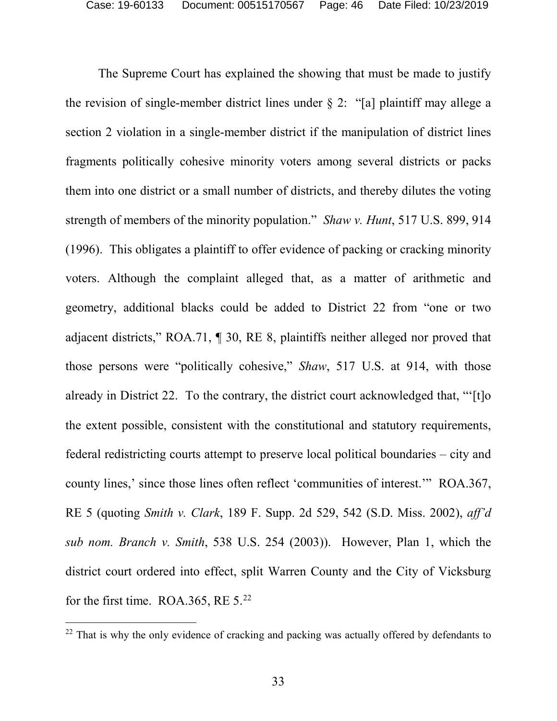The Supreme Court has explained the showing that must be made to justify the revision of single-member district lines under  $\S 2$ : "[a] plaintiff may allege a section 2 violation in a single-member district if the manipulation of district lines fragments politically cohesive minority voters among several districts or packs them into one district or a small number of districts, and thereby dilutes the voting strength of members of the minority population." *Shaw v. Hunt*, 517 U.S. 899, 914 (1996). This obligates a plaintiff to offer evidence of packing or cracking minority voters. Although the complaint alleged that, as a matter of arithmetic and geometry, additional blacks could be added to District 22 from "one or two adjacent districts," ROA.71, ¶ 30, RE 8, plaintiffs neither alleged nor proved that those persons were "politically cohesive," *Shaw*, 517 U.S. at 914, with those already in District 22. To the contrary, the district court acknowledged that, "'[t]o the extent possible, consistent with the constitutional and statutory requirements, federal redistricting courts attempt to preserve local political boundaries – city and county lines,' since those lines often reflect 'communities of interest.'" ROA.367, RE 5 (quoting *Smith v. Clark*, 189 F. Supp. 2d 529, 542 (S.D. Miss. 2002), *aff'd sub nom. Branch v. Smith*, 538 U.S. 254 (2003)). However, Plan 1, which the district court ordered into effect, split Warren County and the City of Vicksburg for the first time. ROA.365, RE  $5.^{22}$  $5.^{22}$  $5.^{22}$ 

<span id="page-45-0"></span><sup>&</sup>lt;sup>22</sup> That is why the only evidence of cracking and packing was actually offered by defendants to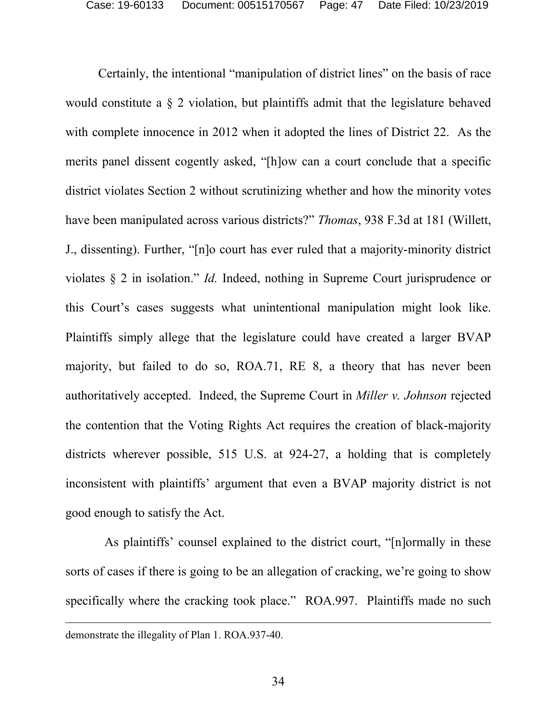Certainly, the intentional "manipulation of district lines" on the basis of race would constitute a § 2 violation, but plaintiffs admit that the legislature behaved with complete innocence in 2012 when it adopted the lines of District 22. As the merits panel dissent cogently asked, "[h]ow can a court conclude that a specific district violates Section 2 without scrutinizing whether and how the minority votes have been manipulated across various districts?" *Thomas*, 938 F.3d at 181 (Willett, J., dissenting). Further, "[n]o court has ever ruled that a majority-minority district violates § 2 in isolation." *Id.* Indeed, nothing in Supreme Court jurisprudence or this Court's cases suggests what unintentional manipulation might look like. Plaintiffs simply allege that the legislature could have created a larger BVAP majority, but failed to do so, ROA.71, RE 8, a theory that has never been authoritatively accepted. Indeed, the Supreme Court in *Miller v. Johnson* rejected the contention that the Voting Rights Act requires the creation of black-majority districts wherever possible, 515 U.S. at 924-27, a holding that is completely inconsistent with plaintiffs' argument that even a BVAP majority district is not good enough to satisfy the Act.

 As plaintiffs' counsel explained to the district court, "[n]ormally in these sorts of cases if there is going to be an allegation of cracking, we're going to show specifically where the cracking took place." ROA.997. Plaintiffs made no such

 $\overline{a}$ 

demonstrate the illegality of Plan 1. ROA.937-40.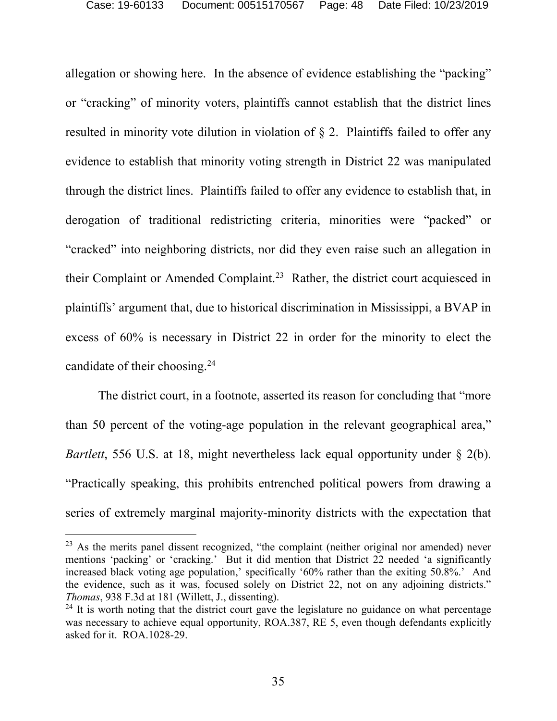allegation or showing here. In the absence of evidence establishing the "packing" or "cracking" of minority voters, plaintiffs cannot establish that the district lines resulted in minority vote dilution in violation of § 2. Plaintiffs failed to offer any evidence to establish that minority voting strength in District 22 was manipulated through the district lines. Plaintiffs failed to offer any evidence to establish that, in derogation of traditional redistricting criteria, minorities were "packed" or "cracked" into neighboring districts, nor did they even raise such an allegation in their Complaint or Amended Complaint.<sup>[23](#page-47-0)</sup> Rather, the district court acquiesced in plaintiffs' argument that, due to historical discrimination in Mississippi, a BVAP in excess of 60% is necessary in District 22 in order for the minority to elect the candidate of their choosing.[24](#page-47-1)

The district court, in a footnote, asserted its reason for concluding that "more than 50 percent of the voting-age population in the relevant geographical area," *Bartlett*, 556 U.S. at 18, might nevertheless lack equal opportunity under § 2(b). "Practically speaking, this prohibits entrenched political powers from drawing a series of extremely marginal majority-minority districts with the expectation that

<span id="page-47-0"></span><sup>&</sup>lt;sup>23</sup> As the merits panel dissent recognized, "the complaint (neither original nor amended) never mentions 'packing' or 'cracking.' But it did mention that District 22 needed 'a significantly increased black voting age population,' specifically '60% rather than the exiting 50.8%.' And the evidence, such as it was, focused solely on District 22, not on any adjoining districts." *Thomas*, 938 F.3d at 181 (Willett, J., dissenting).

<span id="page-47-1"></span> $24$  It is worth noting that the district court gave the legislature no guidance on what percentage was necessary to achieve equal opportunity, ROA.387, RE 5, even though defendants explicitly asked for it. ROA.1028-29.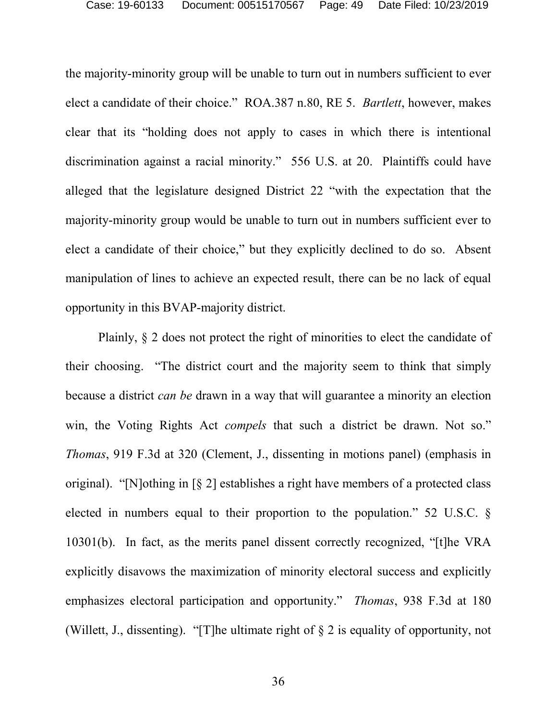the majority-minority group will be unable to turn out in numbers sufficient to ever elect a candidate of their choice." ROA.387 n.80, RE 5. *Bartlett*, however, makes clear that its "holding does not apply to cases in which there is intentional discrimination against a racial minority." 556 U.S. at 20. Plaintiffs could have alleged that the legislature designed District 22 "with the expectation that the majority-minority group would be unable to turn out in numbers sufficient ever to elect a candidate of their choice," but they explicitly declined to do so. Absent manipulation of lines to achieve an expected result, there can be no lack of equal opportunity in this BVAP-majority district.

Plainly, § 2 does not protect the right of minorities to elect the candidate of their choosing. "The district court and the majority seem to think that simply because a district *can be* drawn in a way that will guarantee a minority an election win, the Voting Rights Act *compels* that such a district be drawn. Not so." *Thomas*, 919 F.3d at 320 (Clement, J., dissenting in motions panel) (emphasis in original). "[N]othing in [§ 2] establishes a right have members of a protected class elected in numbers equal to their proportion to the population." 52 U.S.C. § 10301(b). In fact, as the merits panel dissent correctly recognized, "[t]he VRA explicitly disavows the maximization of minority electoral success and explicitly emphasizes electoral participation and opportunity." *Thomas*, 938 F.3d at 180 (Willett, J., dissenting). "[T]he ultimate right of § 2 is equality of opportunity, not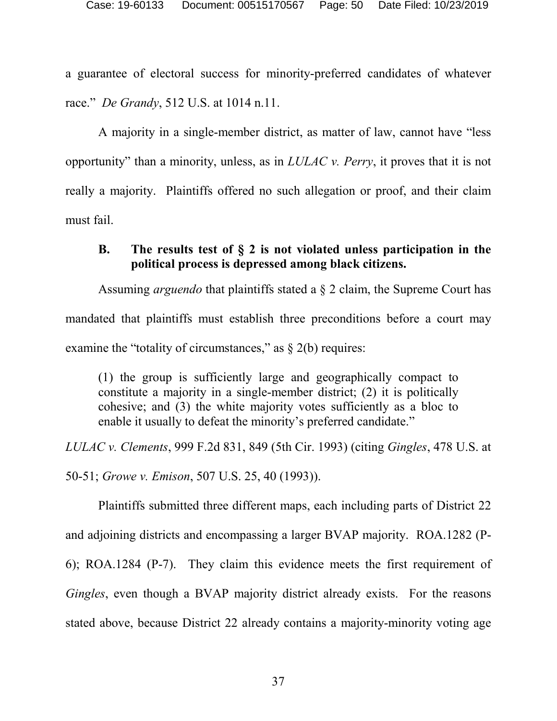a guarantee of electoral success for minority-preferred candidates of whatever race." *De Grandy*, 512 U.S. at 1014 n.11.

A majority in a single-member district, as matter of law, cannot have "less opportunity" than a minority, unless, as in *LULAC v. Perry*, it proves that it is not really a majority. Plaintiffs offered no such allegation or proof, and their claim must fail.

# <span id="page-49-0"></span>**B. The results test of § 2 is not violated unless participation in the political process is depressed among black citizens.**

Assuming *arguendo* that plaintiffs stated a § 2 claim, the Supreme Court has mandated that plaintiffs must establish three preconditions before a court may examine the "totality of circumstances," as  $\S$  2(b) requires:

(1) the group is sufficiently large and geographically compact to constitute a majority in a single-member district; (2) it is politically cohesive; and (3) the white majority votes sufficiently as a bloc to enable it usually to defeat the minority's preferred candidate."

*LULAC v. Clements*, 999 F.2d 831, 849 (5th Cir. 1993) (citing *Gingles*, 478 U.S. at

50-51; *Growe v. Emison*, 507 U.S. 25, 40 (1993)).

Plaintiffs submitted three different maps, each including parts of District 22 and adjoining districts and encompassing a larger BVAP majority. ROA.1282 (P-6); ROA.1284 (P-7). They claim this evidence meets the first requirement of *Gingles*, even though a BVAP majority district already exists. For the reasons stated above, because District 22 already contains a majority-minority voting age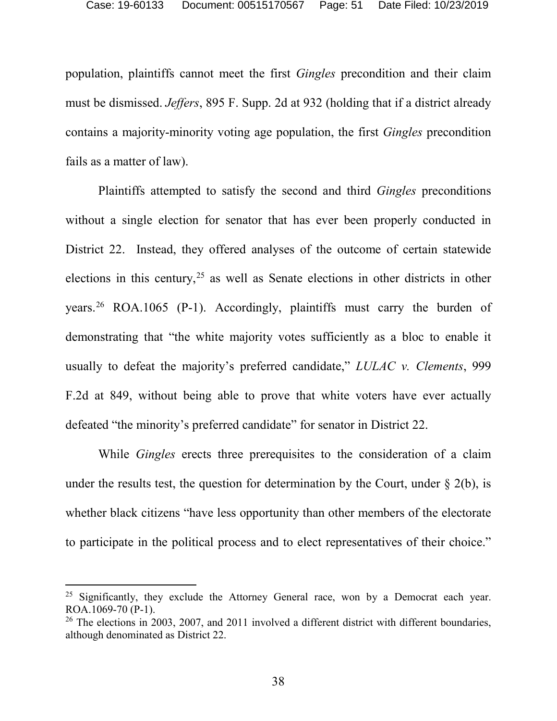population, plaintiffs cannot meet the first *Gingles* precondition and their claim must be dismissed. *Jeffers*, 895 F. Supp. 2d at 932 (holding that if a district already contains a majority-minority voting age population, the first *Gingles* precondition fails as a matter of law).

Plaintiffs attempted to satisfy the second and third *Gingles* preconditions without a single election for senator that has ever been properly conducted in District 22. Instead, they offered analyses of the outcome of certain statewide elections in this century,  $25$  as well as Senate elections in other districts in other years.<sup>[26](#page-50-1)</sup> ROA.1065 (P-1). Accordingly, plaintiffs must carry the burden of demonstrating that "the white majority votes sufficiently as a bloc to enable it usually to defeat the majority's preferred candidate," *LULAC v. Clements*, 999 F.2d at 849, without being able to prove that white voters have ever actually defeated "the minority's preferred candidate" for senator in District 22.

While *Gingles* erects three prerequisites to the consideration of a claim under the results test, the question for determination by the Court, under  $\S$  2(b), is whether black citizens "have less opportunity than other members of the electorate to participate in the political process and to elect representatives of their choice."

<span id="page-50-0"></span><sup>&</sup>lt;sup>25</sup> Significantly, they exclude the Attorney General race, won by a Democrat each year. ROA.1069-70 (P-1).

<span id="page-50-1"></span> $26$  The elections in 2003, 2007, and 2011 involved a different district with different boundaries, although denominated as District 22.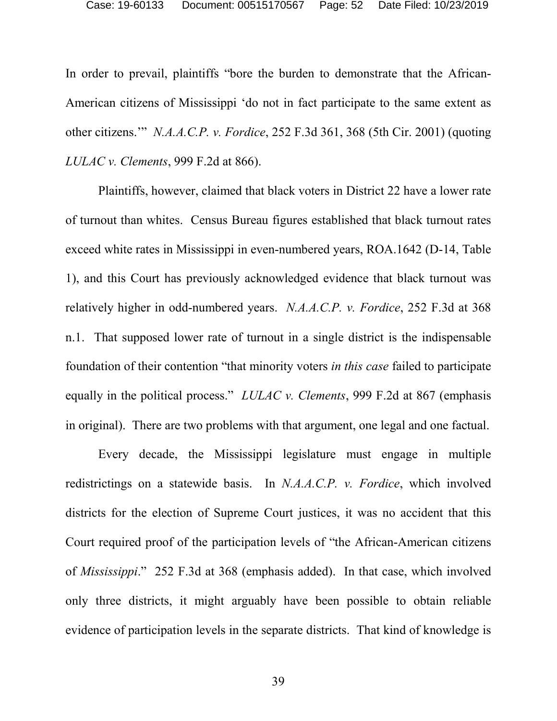In order to prevail, plaintiffs "bore the burden to demonstrate that the African-American citizens of Mississippi 'do not in fact participate to the same extent as other citizens.'" *N.A.A.C.P. v. Fordice*, 252 F.3d 361, 368 (5th Cir. 2001) (quoting *LULAC v. Clements*, 999 F.2d at 866).

Plaintiffs, however, claimed that black voters in District 22 have a lower rate of turnout than whites. Census Bureau figures established that black turnout rates exceed white rates in Mississippi in even-numbered years, ROA.1642 (D-14, Table 1), and this Court has previously acknowledged evidence that black turnout was relatively higher in odd-numbered years. *N.A.A.C.P. v. Fordice*, 252 F.3d at 368 n.1. That supposed lower rate of turnout in a single district is the indispensable foundation of their contention "that minority voters *in this case* failed to participate equally in the political process." *LULAC v. Clements*, 999 F.2d at 867 (emphasis in original). There are two problems with that argument, one legal and one factual.

Every decade, the Mississippi legislature must engage in multiple redistrictings on a statewide basis. In *N.A.A.C.P. v. Fordice*, which involved districts for the election of Supreme Court justices, it was no accident that this Court required proof of the participation levels of "the African-American citizens of *Mississippi*." 252 F.3d at 368 (emphasis added). In that case, which involved only three districts, it might arguably have been possible to obtain reliable evidence of participation levels in the separate districts. That kind of knowledge is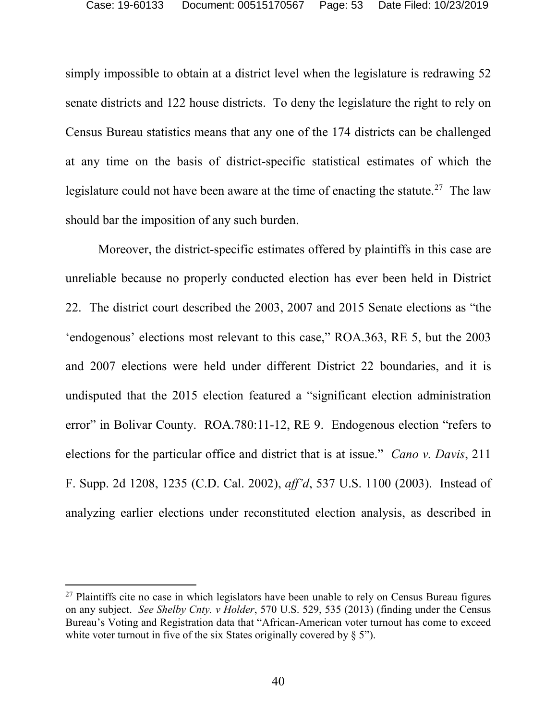simply impossible to obtain at a district level when the legislature is redrawing 52 senate districts and 122 house districts. To deny the legislature the right to rely on Census Bureau statistics means that any one of the 174 districts can be challenged at any time on the basis of district-specific statistical estimates of which the legislature could not have been aware at the time of enacting the statute.<sup>[27](#page-52-0)</sup> The law should bar the imposition of any such burden.

Moreover, the district-specific estimates offered by plaintiffs in this case are unreliable because no properly conducted election has ever been held in District 22. The district court described the 2003, 2007 and 2015 Senate elections as "the 'endogenous' elections most relevant to this case," ROA.363, RE 5, but the 2003 and 2007 elections were held under different District 22 boundaries, and it is undisputed that the 2015 election featured a "significant election administration error" in Bolivar County. ROA.780:11-12, RE 9. Endogenous election "refers to elections for the particular office and district that is at issue." *Cano v. Davis*, 211 F. Supp. 2d 1208, 1235 (C.D. Cal. 2002), *aff'd*, 537 U.S. 1100 (2003). Instead of analyzing earlier elections under reconstituted election analysis, as described in

<span id="page-52-0"></span> $27$  Plaintiffs cite no case in which legislators have been unable to rely on Census Bureau figures on any subject. *See Shelby Cnty. v Holder*, 570 U.S. 529, 535 (2013) (finding under the Census Bureau's Voting and Registration data that "African-American voter turnout has come to exceed white voter turnout in five of the six States originally covered by § 5").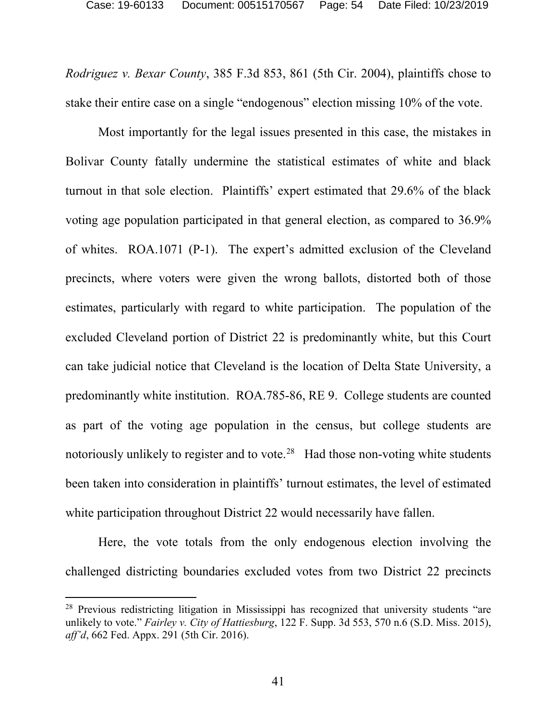*Rodriguez v. Bexar County*, 385 F.3d 853, 861 (5th Cir. 2004), plaintiffs chose to stake their entire case on a single "endogenous" election missing 10% of the vote.

Most importantly for the legal issues presented in this case, the mistakes in Bolivar County fatally undermine the statistical estimates of white and black turnout in that sole election. Plaintiffs' expert estimated that 29.6% of the black voting age population participated in that general election, as compared to 36.9% of whites. ROA.1071 (P-1). The expert's admitted exclusion of the Cleveland precincts, where voters were given the wrong ballots, distorted both of those estimates, particularly with regard to white participation. The population of the excluded Cleveland portion of District 22 is predominantly white, but this Court can take judicial notice that Cleveland is the location of Delta State University, a predominantly white institution. ROA.785-86, RE 9. College students are counted as part of the voting age population in the census, but college students are notoriously unlikely to register and to vote.<sup>[28](#page-53-0)</sup> Had those non-voting white students been taken into consideration in plaintiffs' turnout estimates, the level of estimated white participation throughout District 22 would necessarily have fallen.

Here, the vote totals from the only endogenous election involving the challenged districting boundaries excluded votes from two District 22 precincts

<span id="page-53-0"></span><sup>&</sup>lt;sup>28</sup> Previous redistricting litigation in Mississippi has recognized that university students "are unlikely to vote." *Fairley v. City of Hattiesburg*, 122 F. Supp. 3d 553, 570 n.6 (S.D. Miss. 2015), *aff'd*, 662 Fed. Appx. 291 (5th Cir. 2016).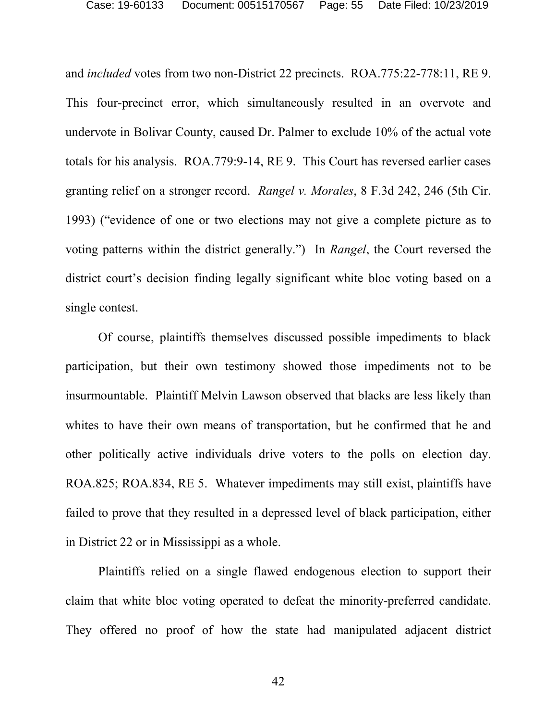and *included* votes from two non-District 22 precincts. ROA.775:22-778:11, RE 9. This four-precinct error, which simultaneously resulted in an overvote and undervote in Bolivar County, caused Dr. Palmer to exclude 10% of the actual vote totals for his analysis. ROA.779:9-14, RE 9. This Court has reversed earlier cases granting relief on a stronger record. *Rangel v. Morales*, 8 F.3d 242, 246 (5th Cir. 1993) ("evidence of one or two elections may not give a complete picture as to voting patterns within the district generally.") In *Rangel*, the Court reversed the district court's decision finding legally significant white bloc voting based on a single contest.

Of course, plaintiffs themselves discussed possible impediments to black participation, but their own testimony showed those impediments not to be insurmountable. Plaintiff Melvin Lawson observed that blacks are less likely than whites to have their own means of transportation, but he confirmed that he and other politically active individuals drive voters to the polls on election day. ROA.825; ROA.834, RE 5. Whatever impediments may still exist, plaintiffs have failed to prove that they resulted in a depressed level of black participation, either in District 22 or in Mississippi as a whole.

Plaintiffs relied on a single flawed endogenous election to support their claim that white bloc voting operated to defeat the minority-preferred candidate. They offered no proof of how the state had manipulated adjacent district

42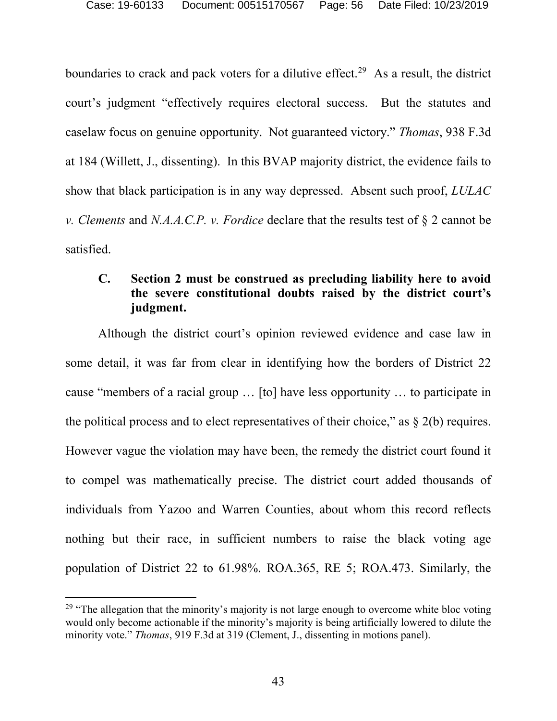boundaries to crack and pack voters for a dilutive effect.<sup>29</sup> As a result, the district court's judgment "effectively requires electoral success. But the statutes and caselaw focus on genuine opportunity. Not guaranteed victory." *Thomas*, 938 F.3d at 184 (Willett, J., dissenting). In this BVAP majority district, the evidence fails to show that black participation is in any way depressed. Absent such proof, *LULAC v. Clements* and *N.A.A.C.P. v. Fordice* declare that the results test of § 2 cannot be satisfied.

# <span id="page-55-0"></span>**C. Section 2 must be construed as precluding liability here to avoid the severe constitutional doubts raised by the district court's judgment.**

Although the district court's opinion reviewed evidence and case law in some detail, it was far from clear in identifying how the borders of District 22 cause "members of a racial group … [to] have less opportunity … to participate in the political process and to elect representatives of their choice," as  $\S$  2(b) requires. However vague the violation may have been, the remedy the district court found it to compel was mathematically precise. The district court added thousands of individuals from Yazoo and Warren Counties, about whom this record reflects nothing but their race, in sufficient numbers to raise the black voting age population of District 22 to 61.98%. ROA.365, RE 5; ROA.473. Similarly, the

<span id="page-55-1"></span> $29$  "The allegation that the minority's majority is not large enough to overcome white bloc voting would only become actionable if the minority's majority is being artificially lowered to dilute the minority vote." *Thomas*, 919 F.3d at 319 (Clement, J., dissenting in motions panel).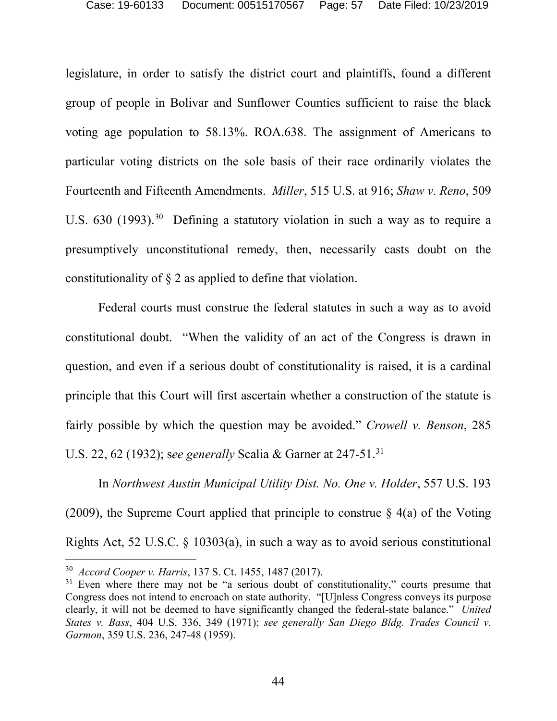legislature, in order to satisfy the district court and plaintiffs, found a different group of people in Bolivar and Sunflower Counties sufficient to raise the black voting age population to 58.13%. ROA.638. The assignment of Americans to particular voting districts on the sole basis of their race ordinarily violates the Fourteenth and Fifteenth Amendments. *Miller*, 515 U.S. at 916; *Shaw v. Reno*, 509 U.S. 6[30](#page-56-0) (1993).<sup>30</sup> Defining a statutory violation in such a way as to require a presumptively unconstitutional remedy, then, necessarily casts doubt on the constitutionality of § 2 as applied to define that violation.

Federal courts must construe the federal statutes in such a way as to avoid constitutional doubt. "When the validity of an act of the Congress is drawn in question, and even if a serious doubt of constitutionality is raised, it is a cardinal principle that this Court will first ascertain whether a construction of the statute is fairly possible by which the question may be avoided." *Crowell v. Benson*, 285 U.S. 22, 62 (1932); s*ee generally* Scalia & Garner at 247-51.[31](#page-56-1)

In *Northwest Austin Municipal Utility Dist. No. One v. Holder*, 557 U.S. 193 (2009), the Supreme Court applied that principle to construe  $\S$  4(a) of the Voting Rights Act, 52 U.S.C. § 10303(a), in such a way as to avoid serious constitutional

<span id="page-56-0"></span> <sup>30</sup> *Accord Cooper v. Harris*, 137 S. Ct. 1455, 1487 (2017).

<span id="page-56-1"></span><sup>&</sup>lt;sup>31</sup> Even where there may not be "a serious doubt of constitutionality," courts presume that Congress does not intend to encroach on state authority. "[U]nless Congress conveys its purpose clearly, it will not be deemed to have significantly changed the federal-state balance." *United States v. Bass*, 404 U.S. 336, 349 (1971); *see generally San Diego Bldg. Trades Council v. Garmon*, 359 U.S. 236, 247-48 (1959).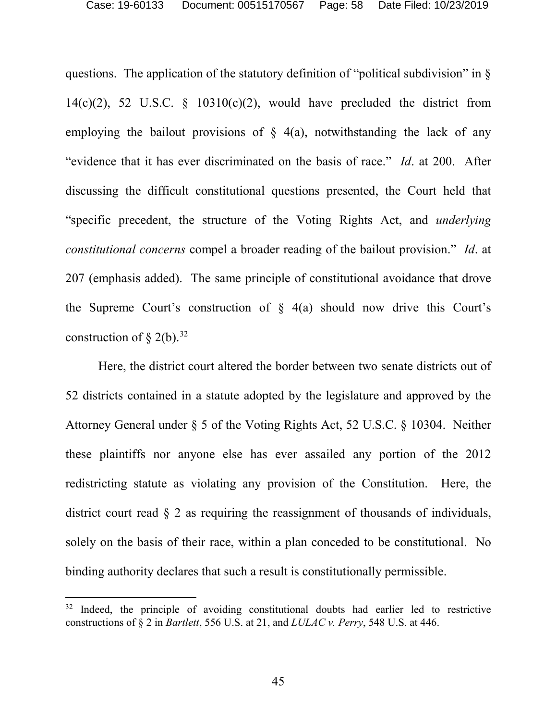questions. The application of the statutory definition of "political subdivision" in  $\S$ 14(c)(2), 52 U.S.C.  $\frac{10310(c)}{2}$ , would have precluded the district from employing the bailout provisions of  $\S$  4(a), notwithstanding the lack of any "evidence that it has ever discriminated on the basis of race." *Id*. at 200. After discussing the difficult constitutional questions presented, the Court held that "specific precedent, the structure of the Voting Rights Act, and *underlying constitutional concerns* compel a broader reading of the bailout provision." *Id*. at 207 (emphasis added). The same principle of constitutional avoidance that drove the Supreme Court's construction of  $\S$  4(a) should now drive this Court's construction of  $\S$  2(b).<sup>32</sup>

Here, the district court altered the border between two senate districts out of 52 districts contained in a statute adopted by the legislature and approved by the Attorney General under § 5 of the Voting Rights Act, 52 U.S.C. § 10304. Neither these plaintiffs nor anyone else has ever assailed any portion of the 2012 redistricting statute as violating any provision of the Constitution. Here, the district court read § 2 as requiring the reassignment of thousands of individuals, solely on the basis of their race, within a plan conceded to be constitutional. No binding authority declares that such a result is constitutionally permissible.

<span id="page-57-0"></span><sup>&</sup>lt;sup>32</sup> Indeed, the principle of avoiding constitutional doubts had earlier led to restrictive constructions of § 2 in *Bartlett*, 556 U.S. at 21, and *LULAC v. Perry*, 548 U.S. at 446.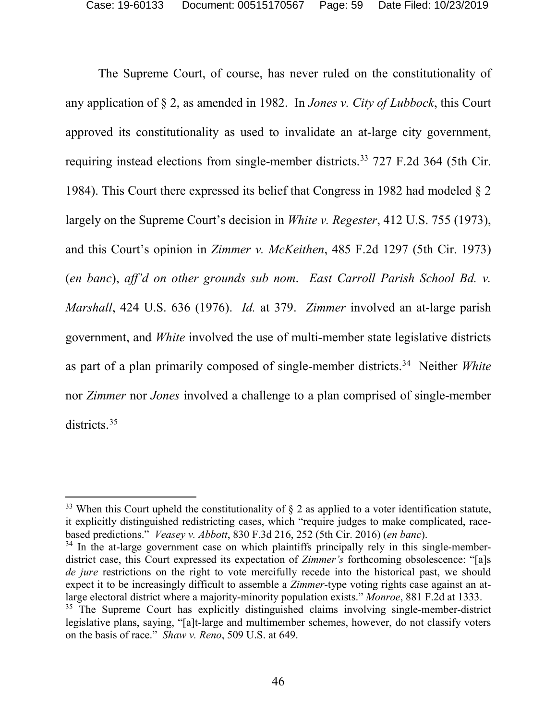The Supreme Court, of course, has never ruled on the constitutionality of any application of § 2, as amended in 1982. In *Jones v. City of Lubbock*, this Court approved its constitutionality as used to invalidate an at-large city government, requiring instead elections from single-member districts.<sup>[33](#page-58-0)</sup> 727 F.2d 364 (5th Cir. 1984). This Court there expressed its belief that Congress in 1982 had modeled § 2 largely on the Supreme Court's decision in *White v. Regester*, 412 U.S. 755 (1973), and this Court's opinion in *Zimmer v. McKeithen*, 485 F.2d 1297 (5th Cir. 1973) (*en banc*), *aff'd on other grounds sub nom*. *East Carroll Parish School Bd. v. Marshall*, 424 U.S. 636 (1976). *Id.* at 379. *Zimmer* involved an at-large parish government, and *White* involved the use of multi-member state legislative districts as part of a plan primarily composed of single-member districts[.34](#page-58-1) Neither *White* nor *Zimmer* nor *Jones* involved a challenge to a plan comprised of single-member districts.<sup>[35](#page-58-2)</sup>

<span id="page-58-0"></span><sup>&</sup>lt;sup>33</sup> When this Court upheld the constitutionality of  $\S$  2 as applied to a voter identification statute, it explicitly distinguished redistricting cases, which "require judges to make complicated, racebased predictions." *Veasey v. Abbott*, 830 F.3d 216, 252 (5th Cir. 2016) (*en banc*).

<span id="page-58-2"></span><span id="page-58-1"></span><sup>&</sup>lt;sup>34</sup> In the at-large government case on which plaintiffs principally rely in this single-memberdistrict case, this Court expressed its expectation of *Zimmer's* forthcoming obsolescence: "[a]s *de jure* restrictions on the right to vote mercifully recede into the historical past, we should expect it to be increasingly difficult to assemble a *Zimmer*-type voting rights case against an atlarge electoral district where a majority-minority population exists." *Monroe*, 881 F.2d at 1333. <sup>35</sup> The Supreme Court has explicitly distinguished claims involving single-member-district legislative plans, saying, "[a]t-large and multimember schemes, however, do not classify voters on the basis of race." *Shaw v. Reno*, 509 U.S. at 649.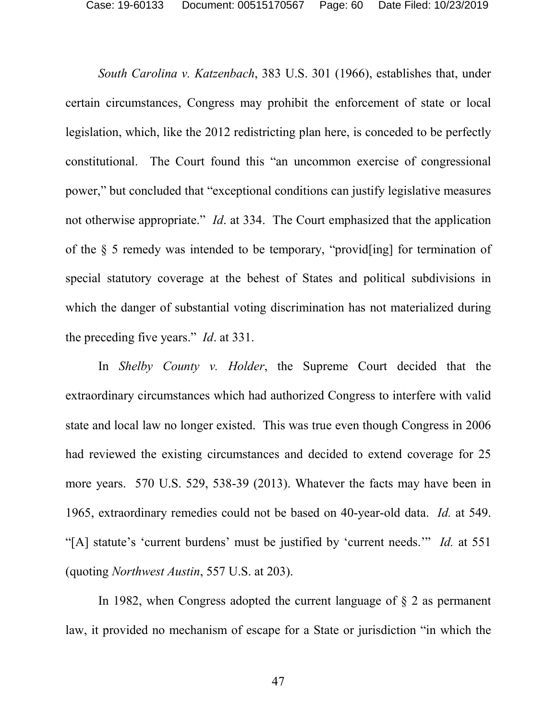*South Carolina v. Katzenbach*, 383 U.S. 301 (1966), establishes that, under certain circumstances, Congress may prohibit the enforcement of state or local legislation, which, like the 2012 redistricting plan here, is conceded to be perfectly constitutional. The Court found this "an uncommon exercise of congressional power," but concluded that "exceptional conditions can justify legislative measures not otherwise appropriate." *Id*. at 334. The Court emphasized that the application of the § 5 remedy was intended to be temporary, "provid[ing] for termination of special statutory coverage at the behest of States and political subdivisions in which the danger of substantial voting discrimination has not materialized during the preceding five years." *Id*. at 331.

In *Shelby County v. Holder*, the Supreme Court decided that the extraordinary circumstances which had authorized Congress to interfere with valid state and local law no longer existed. This was true even though Congress in 2006 had reviewed the existing circumstances and decided to extend coverage for 25 more years. 570 U.S. 529, 538-39 (2013). Whatever the facts may have been in 1965, extraordinary remedies could not be based on 40-year-old data. *Id.* at 549. "[A] statute's 'current burdens' must be justified by 'current needs.'" *Id.* at 551 (quoting *Northwest Austin*, 557 U.S. at 203).

In 1982, when Congress adopted the current language of § 2 as permanent law, it provided no mechanism of escape for a State or jurisdiction "in which the

47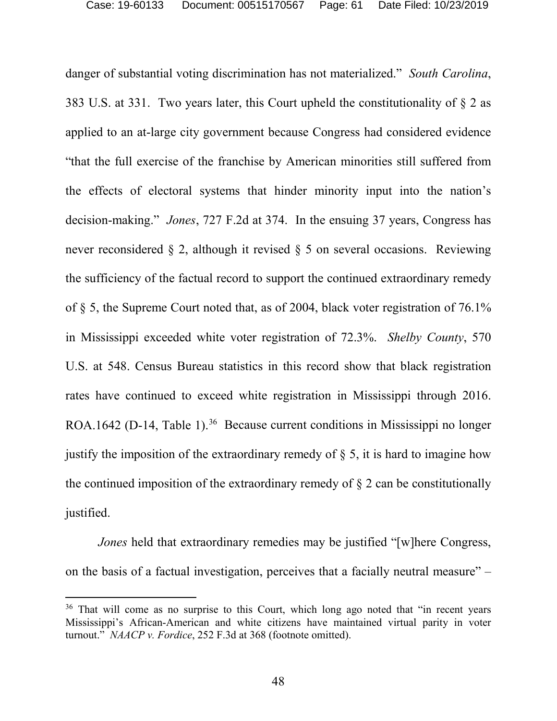danger of substantial voting discrimination has not materialized." *South Carolina*, 383 U.S. at 331. Two years later, this Court upheld the constitutionality of § 2 as applied to an at-large city government because Congress had considered evidence "that the full exercise of the franchise by American minorities still suffered from the effects of electoral systems that hinder minority input into the nation's decision-making." *Jones*, 727 F.2d at 374. In the ensuing 37 years, Congress has never reconsidered § 2, although it revised § 5 on several occasions. Reviewing the sufficiency of the factual record to support the continued extraordinary remedy of § 5, the Supreme Court noted that, as of 2004, black voter registration of 76.1% in Mississippi exceeded white voter registration of 72.3%. *Shelby County*, 570 U.S. at 548. Census Bureau statistics in this record show that black registration rates have continued to exceed white registration in Mississippi through 2016. ROA.1642 (D-14, Table 1).<sup>36</sup> Because current conditions in Mississippi no longer justify the imposition of the extraordinary remedy of  $\S$  5, it is hard to imagine how the continued imposition of the extraordinary remedy of  $\S$  2 can be constitutionally justified.

*Jones* held that extraordinary remedies may be justified "[w]here Congress, on the basis of a factual investigation, perceives that a facially neutral measure" –

<span id="page-60-0"></span><sup>&</sup>lt;sup>36</sup> That will come as no surprise to this Court, which long ago noted that "in recent years" Mississippi's African-American and white citizens have maintained virtual parity in voter turnout." *NAACP v. Fordice*, 252 F.3d at 368 (footnote omitted).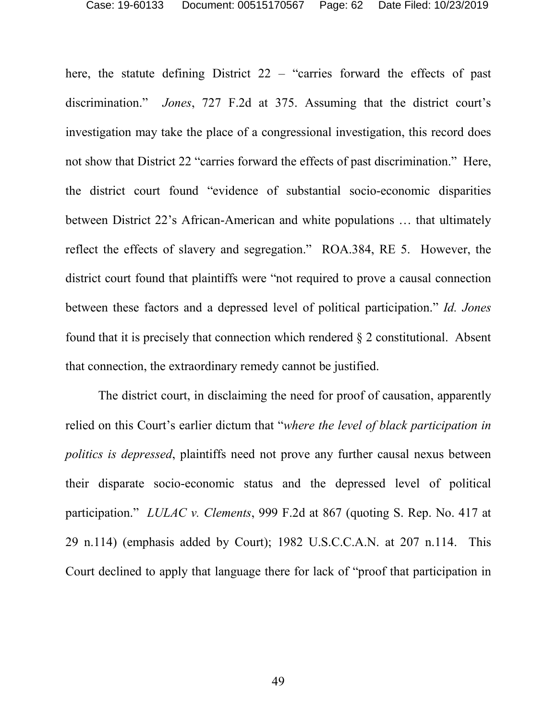here, the statute defining District 22 – "carries forward the effects of past discrimination." *Jones*, 727 F.2d at 375. Assuming that the district court's investigation may take the place of a congressional investigation, this record does not show that District 22 "carries forward the effects of past discrimination." Here, the district court found "evidence of substantial socio-economic disparities between District 22's African-American and white populations … that ultimately reflect the effects of slavery and segregation." ROA.384, RE 5. However, the district court found that plaintiffs were "not required to prove a causal connection between these factors and a depressed level of political participation." *Id. Jones* found that it is precisely that connection which rendered  $\S 2$  constitutional. Absent that connection, the extraordinary remedy cannot be justified.

The district court, in disclaiming the need for proof of causation, apparently relied on this Court's earlier dictum that "*where the level of black participation in politics is depressed*, plaintiffs need not prove any further causal nexus between their disparate socio-economic status and the depressed level of political participation." *LULAC v. Clements*, 999 F.2d at 867 (quoting S. Rep. No. 417 at 29 n.114) (emphasis added by Court); 1982 U.S.C.C.A.N. at 207 n.114. This Court declined to apply that language there for lack of "proof that participation in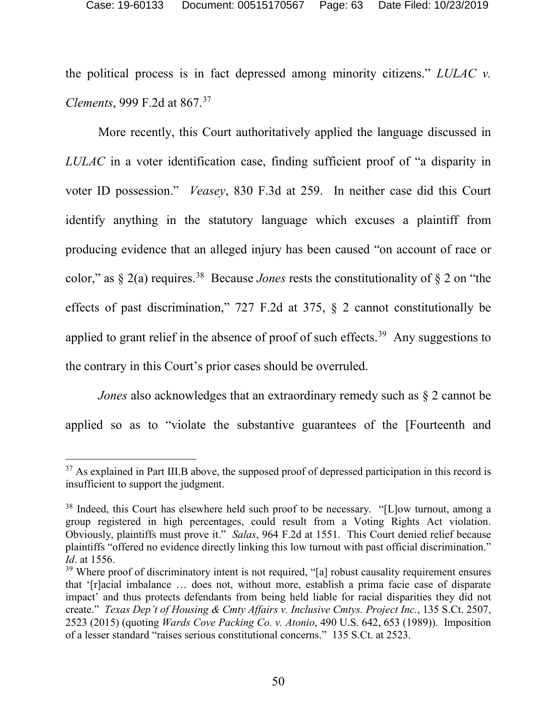the political process is in fact depressed among minority citizens." *LULAC v. Clements*, 999 F.2d at 867.[37](#page-62-0)

More recently, this Court authoritatively applied the language discussed in *LULAC* in a voter identification case, finding sufficient proof of "a disparity in voter ID possession." *Veasey*, 830 F.3d at 259. In neither case did this Court identify anything in the statutory language which excuses a plaintiff from producing evidence that an alleged injury has been caused "on account of race or color," as  $\S 2(a)$  requires.<sup>38</sup> Because *Jones* rests the constitutionality of  $\S 2$  on "the effects of past discrimination," 727 F.2d at 375, § 2 cannot constitutionally be applied to grant relief in the absence of proof of such effects.<sup>[39](#page-62-2)</sup> Any suggestions to the contrary in this Court's prior cases should be overruled.

*Jones* also acknowledges that an extraordinary remedy such as § 2 cannot be applied so as to "violate the substantive guarantees of the [Fourteenth and

<span id="page-62-0"></span><sup>&</sup>lt;sup>37</sup> As explained in Part III.B above, the supposed proof of depressed participation in this record is insufficient to support the judgment.

<span id="page-62-1"></span><sup>&</sup>lt;sup>38</sup> Indeed, this Court has elsewhere held such proof to be necessary. "[L]ow turnout, among a group registered in high percentages, could result from a Voting Rights Act violation. Obviously, plaintiffs must prove it." *Salas*, 964 F.2d at 1551. This Court denied relief because plaintiffs "offered no evidence directly linking this low turnout with past official discrimination." *Id*. at 1556.

<span id="page-62-2"></span><sup>&</sup>lt;sup>39</sup> Where proof of discriminatory intent is not required, "[a] robust causality requirement ensures that '[r]acial imbalance … does not, without more, establish a prima facie case of disparate impact' and thus protects defendants from being held liable for racial disparities they did not create." *Texas Dep't of Housing & Cmty Affairs v. Inclusive Cmtys. Project Inc.*, 135 S.Ct. 2507, 2523 (2015) (quoting *Wards Cove Packing Co. v. Atonio*, 490 U.S. 642, 653 (1989)). Imposition of a lesser standard "raises serious constitutional concerns." 135 S.Ct. at 2523.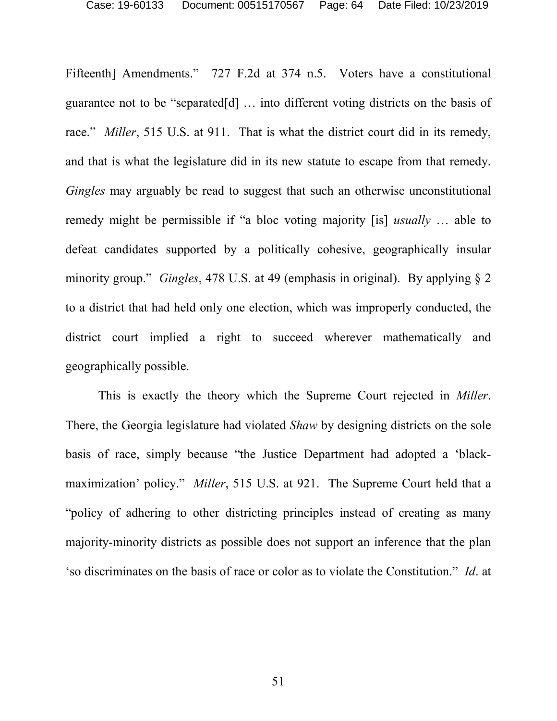Fifteenth] Amendments." 727 F.2d at 374 n.5. Voters have a constitutional guarantee not to be "separated[d] … into different voting districts on the basis of race." *Miller*, 515 U.S. at 911. That is what the district court did in its remedy, and that is what the legislature did in its new statute to escape from that remedy. *Gingles* may arguably be read to suggest that such an otherwise unconstitutional remedy might be permissible if "a bloc voting majority [is] *usually* … able to defeat candidates supported by a politically cohesive, geographically insular minority group." *Gingles*, 478 U.S. at 49 (emphasis in original). By applying § 2 to a district that had held only one election, which was improperly conducted, the district court implied a right to succeed wherever mathematically and geographically possible.

This is exactly the theory which the Supreme Court rejected in *Miller*. There, the Georgia legislature had violated *Shaw* by designing districts on the sole basis of race, simply because "the Justice Department had adopted a 'blackmaximization' policy." *Miller*, 515 U.S. at 921. The Supreme Court held that a "policy of adhering to other districting principles instead of creating as many majority-minority districts as possible does not support an inference that the plan 'so discriminates on the basis of race or color as to violate the Constitution." *Id*. at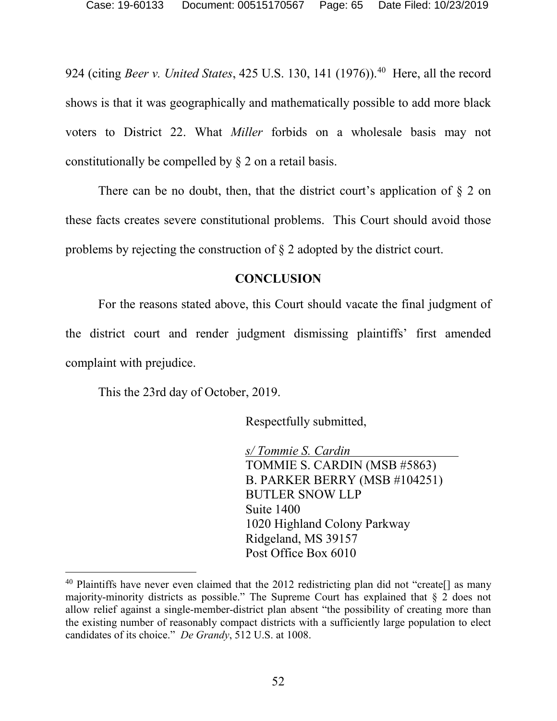924 (citing *Beer v. United States*, 425 U.S. 130, 141 (1976)).<sup>[40](#page-64-1)</sup> Here, all the record shows is that it was geographically and mathematically possible to add more black voters to District 22. What *Miller* forbids on a wholesale basis may not constitutionally be compelled by § 2 on a retail basis.

There can be no doubt, then, that the district court's application of  $\S$  2 on these facts creates severe constitutional problems. This Court should avoid those problems by rejecting the construction of § 2 adopted by the district court.

## **CONCLUSION**

<span id="page-64-0"></span>For the reasons stated above, this Court should vacate the final judgment of the district court and render judgment dismissing plaintiffs' first amended complaint with prejudice.

This the 23rd day of October, 2019.

Respectfully submitted,

*s/ Tommie S. Cardin* TOMMIE S. CARDIN (MSB #5863) B. PARKER BERRY (MSB #104251) BUTLER SNOW LLP Suite 1400 1020 Highland Colony Parkway Ridgeland, MS 39157 Post Office Box 6010

<span id="page-64-1"></span><sup>&</sup>lt;sup>40</sup> Plaintiffs have never even claimed that the 2012 redistricting plan did not "create[] as many majority-minority districts as possible." The Supreme Court has explained that § 2 does not allow relief against a single-member-district plan absent "the possibility of creating more than the existing number of reasonably compact districts with a sufficiently large population to elect candidates of its choice." *De Grandy*, 512 U.S. at 1008.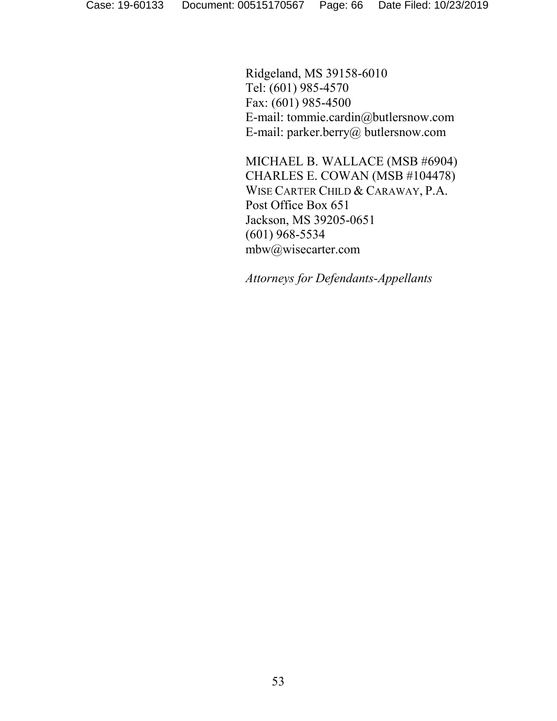Ridgeland, MS 39158-6010 Tel: (601) 985-4570 Fax: (601) 985-4500 E-mail: tommie.cardin@butlersnow.com E-mail: parker.berry@ butlersnow.com

MICHAEL B. WALLACE (MSB #6904) CHARLES E. COWAN (MSB #104478) WISE CARTER CHILD & CARAWAY, P.A. Post Office Box 651 Jackson, MS 39205-0651 (601) 968-5534 mbw@wisecarter.com

*Attorneys for Defendants-Appellants*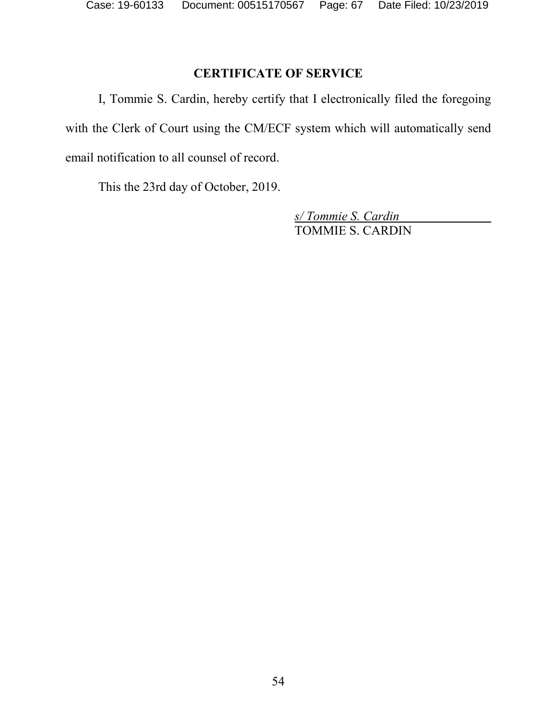# **CERTIFICATE OF SERVICE**

<span id="page-66-0"></span>I, Tommie S. Cardin, hereby certify that I electronically filed the foregoing with the Clerk of Court using the CM/ECF system which will automatically send email notification to all counsel of record.

This the 23rd day of October, 2019.

*s/ Tommie S. Cardin* TOMMIE S. CARDIN